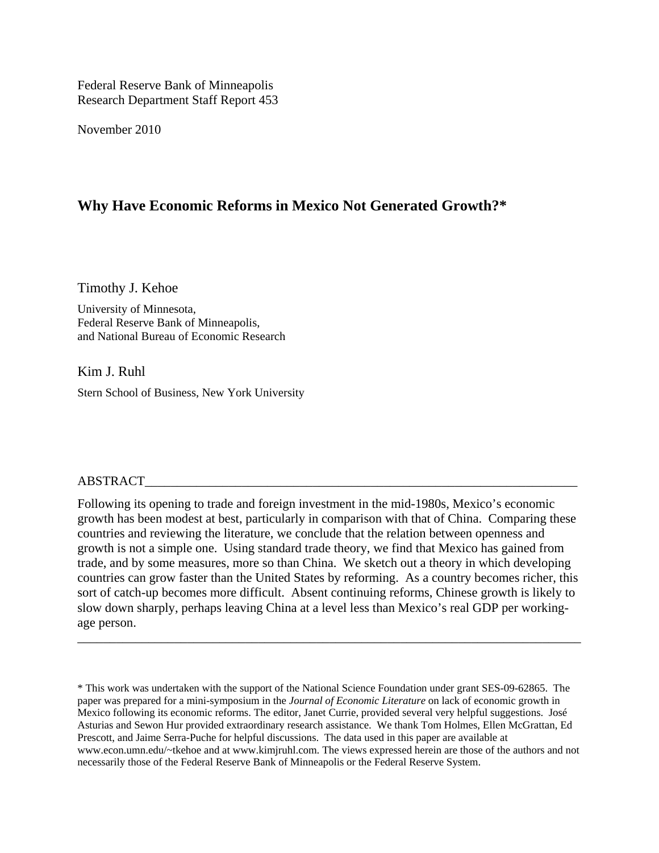Federal Reserve Bank of Minneapolis Research Department Staff Report 453

November 2010

# **Why Have Economic Reforms in Mexico Not Generated Growth?\***

Timothy J. Kehoe

University of Minnesota, Federal Reserve Bank of Minneapolis, and National Bureau of Economic Research

Kim J. Ruhl Stern School of Business, New York University

## ABSTRACT\_\_\_\_\_\_\_\_\_\_\_\_\_\_\_\_\_\_\_\_\_\_\_\_\_\_\_\_\_\_\_\_\_\_\_\_\_\_\_\_\_\_\_\_\_\_\_\_\_\_\_\_\_\_\_\_\_\_\_\_\_\_\_\_\_\_\_

Following its opening to trade and foreign investment in the mid-1980s, Mexico's economic growth has been modest at best, particularly in comparison with that of China. Comparing these countries and reviewing the literature, we conclude that the relation between openness and growth is not a simple one. Using standard trade theory, we find that Mexico has gained from trade, and by some measures, more so than China. We sketch out a theory in which developing countries can grow faster than the United States by reforming. As a country becomes richer, this sort of catch-up becomes more difficult. Absent continuing reforms, Chinese growth is likely to slow down sharply, perhaps leaving China at a level less than Mexico's real GDP per workingage person.

\_\_\_\_\_\_\_\_\_\_\_\_\_\_\_\_\_\_\_\_\_\_\_\_\_\_\_\_\_\_\_\_\_\_\_\_\_\_\_\_\_\_\_\_\_\_\_\_\_\_\_\_\_\_\_\_\_\_\_\_\_\_\_\_\_\_\_\_\_\_\_\_\_\_\_\_\_\_

<sup>\*</sup> This work was undertaken with the support of the National Science Foundation under grant SES-09-62865. The paper was prepared for a mini-symposium in the *Journal of Economic Literature* on lack of economic growth in Mexico following its economic reforms. The editor, Janet Currie, provided several very helpful suggestions. José Asturias and Sewon Hur provided extraordinary research assistance. We thank Tom Holmes, Ellen McGrattan, Ed Prescott, and Jaime Serra-Puche for helpful discussions. The data used in this paper are available at www.econ.umn.edu/~tkehoe and at www.kimjruhl.com. The views expressed herein are those of the authors and not necessarily those of the Federal Reserve Bank of Minneapolis or the Federal Reserve System.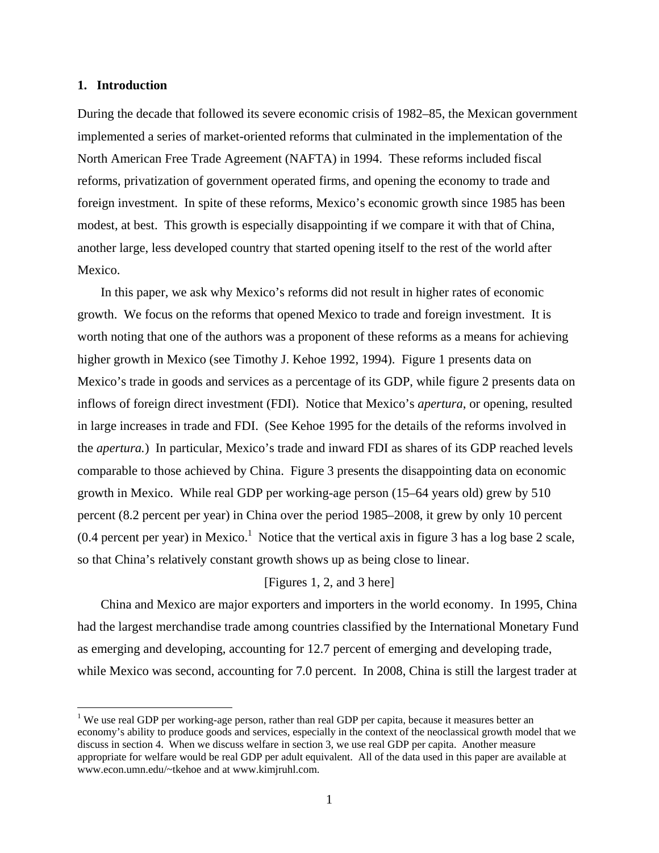### **1. Introduction**

1

During the decade that followed its severe economic crisis of 1982–85, the Mexican government implemented a series of market-oriented reforms that culminated in the implementation of the North American Free Trade Agreement (NAFTA) in 1994. These reforms included fiscal reforms, privatization of government operated firms, and opening the economy to trade and foreign investment. In spite of these reforms, Mexico's economic growth since 1985 has been modest, at best. This growth is especially disappointing if we compare it with that of China, another large, less developed country that started opening itself to the rest of the world after Mexico.

In this paper, we ask why Mexico's reforms did not result in higher rates of economic growth. We focus on the reforms that opened Mexico to trade and foreign investment. It is worth noting that one of the authors was a proponent of these reforms as a means for achieving higher growth in Mexico (see Timothy J. Kehoe 1992, 1994). Figure 1 presents data on Mexico's trade in goods and services as a percentage of its GDP, while figure 2 presents data on inflows of foreign direct investment (FDI). Notice that Mexico's *apertura*, or opening, resulted in large increases in trade and FDI. (See Kehoe 1995 for the details of the reforms involved in the *apertura.*) In particular, Mexico's trade and inward FDI as shares of its GDP reached levels comparable to those achieved by China. Figure 3 presents the disappointing data on economic growth in Mexico. While real GDP per working-age person (15–64 years old) grew by 510 percent (8.2 percent per year) in China over the period 1985–2008, it grew by only 10 percent  $(0.4$  percent per year) in Mexico.<sup>1</sup> Notice that the vertical axis in figure 3 has a log base 2 scale, so that China's relatively constant growth shows up as being close to linear.

## [Figures 1, 2, and 3 here]

China and Mexico are major exporters and importers in the world economy. In 1995, China had the largest merchandise trade among countries classified by the International Monetary Fund as emerging and developing, accounting for 12.7 percent of emerging and developing trade, while Mexico was second, accounting for 7.0 percent. In 2008, China is still the largest trader at

<sup>&</sup>lt;sup>1</sup> We use real GDP per working-age person, rather than real GDP per capita, because it measures better an economy's ability to produce goods and services, especially in the context of the neoclassical growth model that we discuss in section 4. When we discuss welfare in section 3, we use real GDP per capita. Another measure appropriate for welfare would be real GDP per adult equivalent. All of the data used in this paper are available at www.econ.umn.edu/~tkehoe and at www.kimjruhl.com.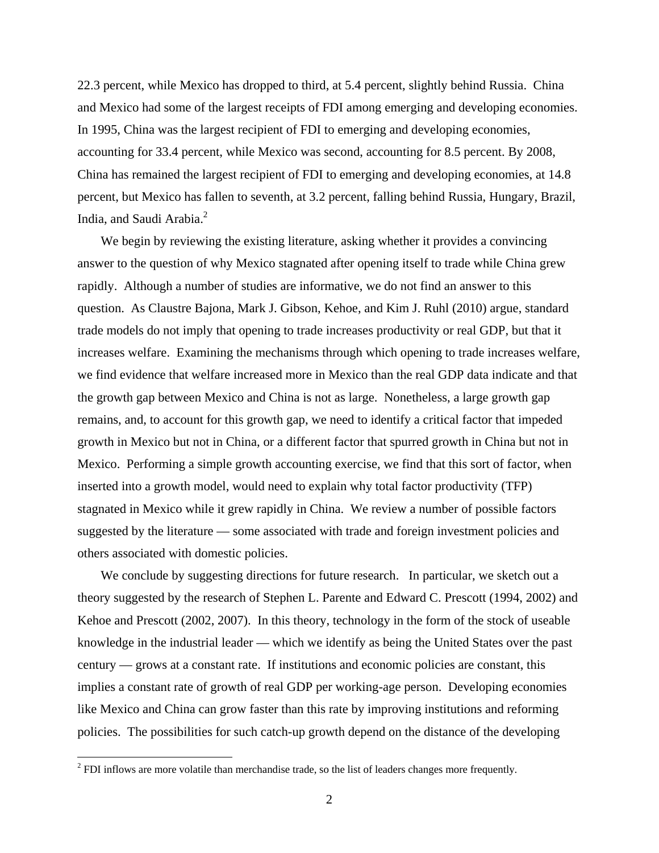22.3 percent, while Mexico has dropped to third, at 5.4 percent, slightly behind Russia. China and Mexico had some of the largest receipts of FDI among emerging and developing economies. In 1995, China was the largest recipient of FDI to emerging and developing economies, accounting for 33.4 percent, while Mexico was second, accounting for 8.5 percent. By 2008, China has remained the largest recipient of FDI to emerging and developing economies, at 14.8 percent, but Mexico has fallen to seventh, at 3.2 percent, falling behind Russia, Hungary, Brazil, India, and Saudi Arabia.<sup>2</sup>

We begin by reviewing the existing literature, asking whether it provides a convincing answer to the question of why Mexico stagnated after opening itself to trade while China grew rapidly. Although a number of studies are informative, we do not find an answer to this question. As Claustre Bajona, Mark J. Gibson, Kehoe, and Kim J. Ruhl (2010) argue, standard trade models do not imply that opening to trade increases productivity or real GDP, but that it increases welfare. Examining the mechanisms through which opening to trade increases welfare, we find evidence that welfare increased more in Mexico than the real GDP data indicate and that the growth gap between Mexico and China is not as large. Nonetheless, a large growth gap remains, and, to account for this growth gap, we need to identify a critical factor that impeded growth in Mexico but not in China, or a different factor that spurred growth in China but not in Mexico. Performing a simple growth accounting exercise, we find that this sort of factor, when inserted into a growth model, would need to explain why total factor productivity (TFP) stagnated in Mexico while it grew rapidly in China. We review a number of possible factors suggested by the literature — some associated with trade and foreign investment policies and others associated with domestic policies.

We conclude by suggesting directions for future research. In particular, we sketch out a theory suggested by the research of Stephen L. Parente and Edward C. Prescott (1994, 2002) and Kehoe and Prescott (2002, 2007). In this theory, technology in the form of the stock of useable knowledge in the industrial leader — which we identify as being the United States over the past century — grows at a constant rate. If institutions and economic policies are constant, this implies a constant rate of growth of real GDP per working-age person. Developing economies like Mexico and China can grow faster than this rate by improving institutions and reforming policies. The possibilities for such catch-up growth depend on the distance of the developing

<sup>&</sup>lt;sup>2</sup> FDI inflows are more volatile than merchandise trade, so the list of leaders changes more frequently.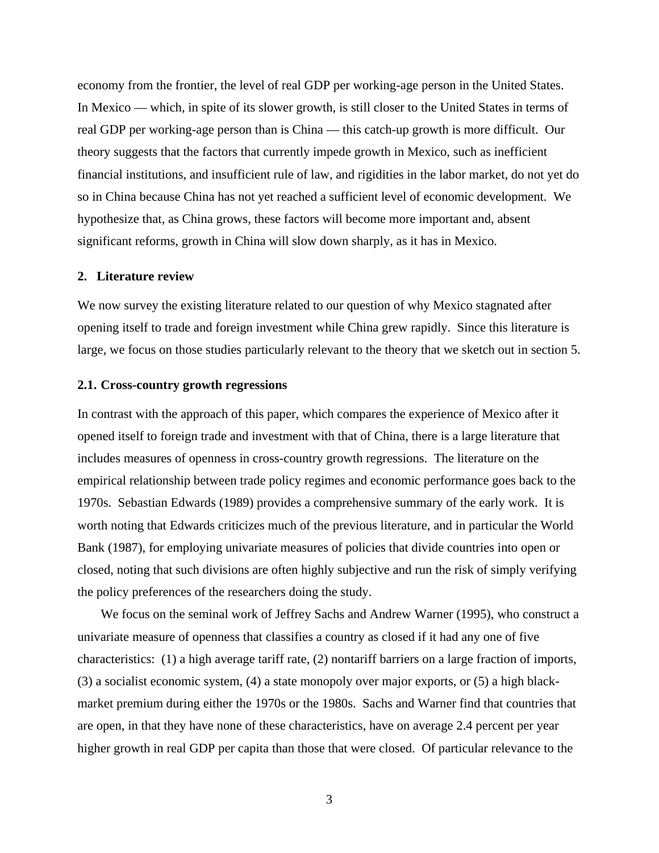economy from the frontier, the level of real GDP per working-age person in the United States. In Mexico — which, in spite of its slower growth, is still closer to the United States in terms of real GDP per working-age person than is China — this catch-up growth is more difficult. Our theory suggests that the factors that currently impede growth in Mexico, such as inefficient financial institutions, and insufficient rule of law, and rigidities in the labor market, do not yet do so in China because China has not yet reached a sufficient level of economic development. We hypothesize that, as China grows, these factors will become more important and, absent significant reforms, growth in China will slow down sharply, as it has in Mexico.

#### **2. Literature review**

We now survey the existing literature related to our question of why Mexico stagnated after opening itself to trade and foreign investment while China grew rapidly. Since this literature is large, we focus on those studies particularly relevant to the theory that we sketch out in section 5.

### **2.1. Cross-country growth regressions**

In contrast with the approach of this paper, which compares the experience of Mexico after it opened itself to foreign trade and investment with that of China, there is a large literature that includes measures of openness in cross-country growth regressions. The literature on the empirical relationship between trade policy regimes and economic performance goes back to the 1970s. Sebastian Edwards (1989) provides a comprehensive summary of the early work. It is worth noting that Edwards criticizes much of the previous literature, and in particular the World Bank (1987), for employing univariate measures of policies that divide countries into open or closed, noting that such divisions are often highly subjective and run the risk of simply verifying the policy preferences of the researchers doing the study.

We focus on the seminal work of Jeffrey Sachs and Andrew Warner (1995), who construct a univariate measure of openness that classifies a country as closed if it had any one of five characteristics: (1) a high average tariff rate, (2) nontariff barriers on a large fraction of imports, (3) a socialist economic system, (4) a state monopoly over major exports, or (5) a high blackmarket premium during either the 1970s or the 1980s. Sachs and Warner find that countries that are open, in that they have none of these characteristics, have on average 2.4 percent per year higher growth in real GDP per capita than those that were closed. Of particular relevance to the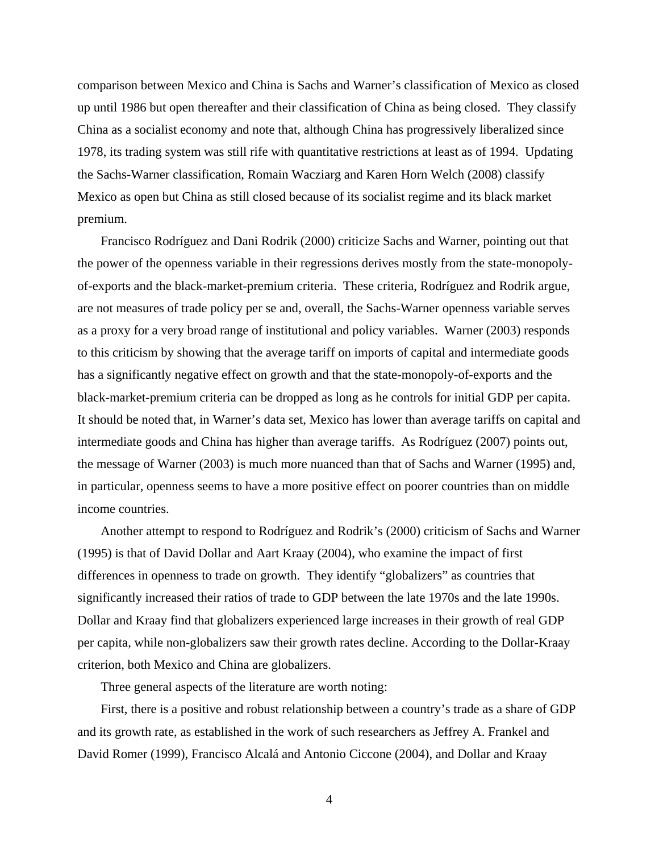comparison between Mexico and China is Sachs and Warner's classification of Mexico as closed up until 1986 but open thereafter and their classification of China as being closed. They classify China as a socialist economy and note that, although China has progressively liberalized since 1978, its trading system was still rife with quantitative restrictions at least as of 1994. Updating the Sachs-Warner classification, Romain Wacziarg and Karen Horn Welch (2008) classify Mexico as open but China as still closed because of its socialist regime and its black market premium.

Francisco Rodríguez and Dani Rodrik (2000) criticize Sachs and Warner, pointing out that the power of the openness variable in their regressions derives mostly from the state-monopolyof-exports and the black-market-premium criteria. These criteria, Rodríguez and Rodrik argue, are not measures of trade policy per se and, overall, the Sachs-Warner openness variable serves as a proxy for a very broad range of institutional and policy variables. Warner (2003) responds to this criticism by showing that the average tariff on imports of capital and intermediate goods has a significantly negative effect on growth and that the state-monopoly-of-exports and the black-market-premium criteria can be dropped as long as he controls for initial GDP per capita. It should be noted that, in Warner's data set, Mexico has lower than average tariffs on capital and intermediate goods and China has higher than average tariffs. As Rodríguez (2007) points out, the message of Warner (2003) is much more nuanced than that of Sachs and Warner (1995) and, in particular, openness seems to have a more positive effect on poorer countries than on middle income countries.

Another attempt to respond to Rodríguez and Rodrik's (2000) criticism of Sachs and Warner (1995) is that of David Dollar and Aart Kraay (2004), who examine the impact of first differences in openness to trade on growth. They identify "globalizers" as countries that significantly increased their ratios of trade to GDP between the late 1970s and the late 1990s. Dollar and Kraay find that globalizers experienced large increases in their growth of real GDP per capita, while non-globalizers saw their growth rates decline. According to the Dollar-Kraay criterion, both Mexico and China are globalizers.

Three general aspects of the literature are worth noting:

First, there is a positive and robust relationship between a country's trade as a share of GDP and its growth rate, as established in the work of such researchers as Jeffrey A. Frankel and David Romer (1999), Francisco Alcalá and Antonio Ciccone (2004), and Dollar and Kraay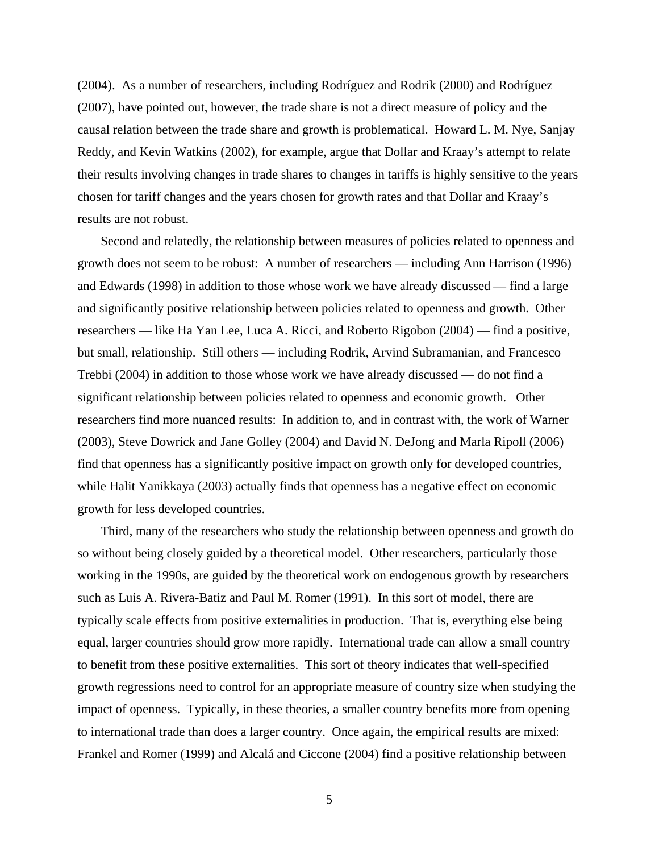(2004). As a number of researchers, including Rodríguez and Rodrik (2000) and Rodríguez (2007), have pointed out, however, the trade share is not a direct measure of policy and the causal relation between the trade share and growth is problematical. Howard L. M. Nye, Sanjay Reddy, and Kevin Watkins (2002), for example, argue that Dollar and Kraay's attempt to relate their results involving changes in trade shares to changes in tariffs is highly sensitive to the years chosen for tariff changes and the years chosen for growth rates and that Dollar and Kraay's results are not robust.

Second and relatedly, the relationship between measures of policies related to openness and growth does not seem to be robust: A number of researchers — including Ann Harrison (1996) and Edwards (1998) in addition to those whose work we have already discussed — find a large and significantly positive relationship between policies related to openness and growth. Other researchers — like Ha Yan Lee, Luca A. Ricci, and Roberto Rigobon (2004) — find a positive, but small, relationship. Still others — including Rodrik, Arvind Subramanian, and Francesco Trebbi (2004) in addition to those whose work we have already discussed — do not find a significant relationship between policies related to openness and economic growth. Other researchers find more nuanced results: In addition to, and in contrast with, the work of Warner (2003), Steve Dowrick and Jane Golley (2004) and David N. DeJong and Marla Ripoll (2006) find that openness has a significantly positive impact on growth only for developed countries, while Halit Yanikkaya (2003) actually finds that openness has a negative effect on economic growth for less developed countries.

Third, many of the researchers who study the relationship between openness and growth do so without being closely guided by a theoretical model. Other researchers, particularly those working in the 1990s, are guided by the theoretical work on endogenous growth by researchers such as Luis A. Rivera-Batiz and Paul M. Romer (1991). In this sort of model, there are typically scale effects from positive externalities in production. That is, everything else being equal, larger countries should grow more rapidly. International trade can allow a small country to benefit from these positive externalities. This sort of theory indicates that well-specified growth regressions need to control for an appropriate measure of country size when studying the impact of openness. Typically, in these theories, a smaller country benefits more from opening to international trade than does a larger country. Once again, the empirical results are mixed: Frankel and Romer (1999) and Alcalá and Ciccone (2004) find a positive relationship between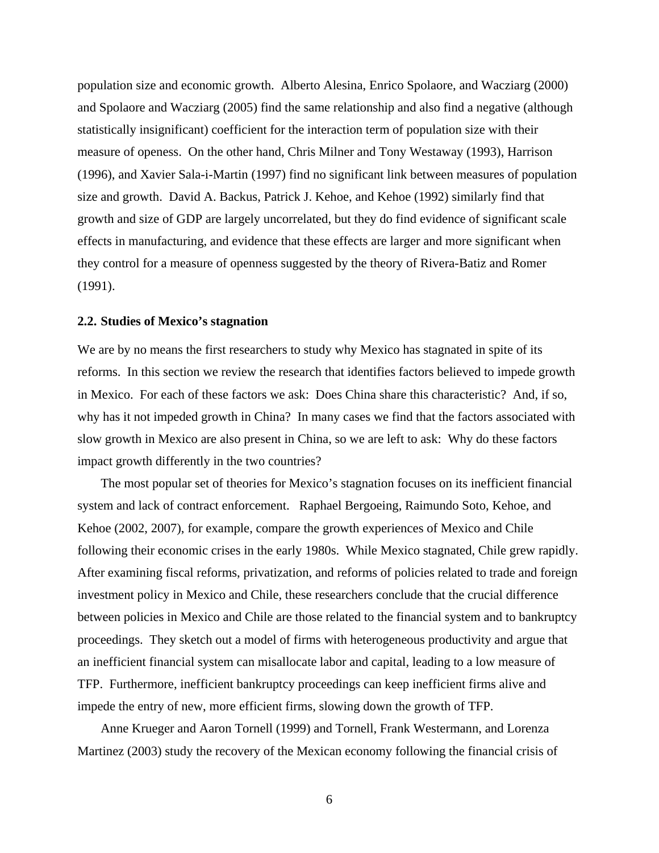population size and economic growth. Alberto Alesina, Enrico Spolaore, and Wacziarg (2000) and Spolaore and Wacziarg (2005) find the same relationship and also find a negative (although statistically insignificant) coefficient for the interaction term of population size with their measure of openess. On the other hand, Chris Milner and Tony Westaway (1993), Harrison (1996), and Xavier Sala-i-Martin (1997) find no significant link between measures of population size and growth. David A. Backus, Patrick J. Kehoe, and Kehoe (1992) similarly find that growth and size of GDP are largely uncorrelated, but they do find evidence of significant scale effects in manufacturing, and evidence that these effects are larger and more significant when they control for a measure of openness suggested by the theory of Rivera-Batiz and Romer (1991).

### **2.2. Studies of Mexico's stagnation**

We are by no means the first researchers to study why Mexico has stagnated in spite of its reforms. In this section we review the research that identifies factors believed to impede growth in Mexico. For each of these factors we ask: Does China share this characteristic? And, if so, why has it not impeded growth in China? In many cases we find that the factors associated with slow growth in Mexico are also present in China, so we are left to ask: Why do these factors impact growth differently in the two countries?

The most popular set of theories for Mexico's stagnation focuses on its inefficient financial system and lack of contract enforcement. Raphael Bergoeing, Raimundo Soto, Kehoe, and Kehoe (2002, 2007), for example, compare the growth experiences of Mexico and Chile following their economic crises in the early 1980s. While Mexico stagnated, Chile grew rapidly. After examining fiscal reforms, privatization, and reforms of policies related to trade and foreign investment policy in Mexico and Chile, these researchers conclude that the crucial difference between policies in Mexico and Chile are those related to the financial system and to bankruptcy proceedings. They sketch out a model of firms with heterogeneous productivity and argue that an inefficient financial system can misallocate labor and capital, leading to a low measure of TFP. Furthermore, inefficient bankruptcy proceedings can keep inefficient firms alive and impede the entry of new, more efficient firms, slowing down the growth of TFP.

Anne Krueger and Aaron Tornell (1999) and Tornell, Frank Westermann, and Lorenza Martinez (2003) study the recovery of the Mexican economy following the financial crisis of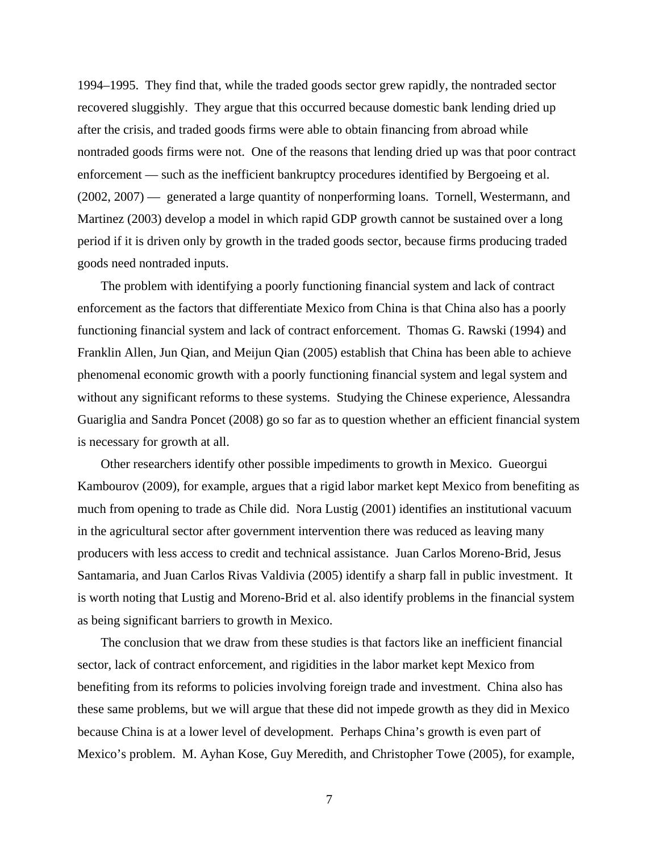1994–1995. They find that, while the traded goods sector grew rapidly, the nontraded sector recovered sluggishly. They argue that this occurred because domestic bank lending dried up after the crisis, and traded goods firms were able to obtain financing from abroad while nontraded goods firms were not. One of the reasons that lending dried up was that poor contract enforcement — such as the inefficient bankruptcy procedures identified by Bergoeing et al. (2002, 2007) — generated a large quantity of nonperforming loans. Tornell, Westermann, and Martinez (2003) develop a model in which rapid GDP growth cannot be sustained over a long period if it is driven only by growth in the traded goods sector, because firms producing traded goods need nontraded inputs.

The problem with identifying a poorly functioning financial system and lack of contract enforcement as the factors that differentiate Mexico from China is that China also has a poorly functioning financial system and lack of contract enforcement. Thomas G. Rawski (1994) and Franklin Allen, Jun Qian, and Meijun Qian (2005) establish that China has been able to achieve phenomenal economic growth with a poorly functioning financial system and legal system and without any significant reforms to these systems. Studying the Chinese experience, Alessandra Guariglia and Sandra Poncet (2008) go so far as to question whether an efficient financial system is necessary for growth at all.

Other researchers identify other possible impediments to growth in Mexico. Gueorgui Kambourov (2009), for example, argues that a rigid labor market kept Mexico from benefiting as much from opening to trade as Chile did. Nora Lustig (2001) identifies an institutional vacuum in the agricultural sector after government intervention there was reduced as leaving many producers with less access to credit and technical assistance. Juan Carlos Moreno-Brid, Jesus Santamaria, and Juan Carlos Rivas Valdivia (2005) identify a sharp fall in public investment. It is worth noting that Lustig and Moreno-Brid et al. also identify problems in the financial system as being significant barriers to growth in Mexico.

The conclusion that we draw from these studies is that factors like an inefficient financial sector, lack of contract enforcement, and rigidities in the labor market kept Mexico from benefiting from its reforms to policies involving foreign trade and investment. China also has these same problems, but we will argue that these did not impede growth as they did in Mexico because China is at a lower level of development. Perhaps China's growth is even part of Mexico's problem. M. Ayhan Kose, Guy Meredith, and Christopher Towe (2005), for example,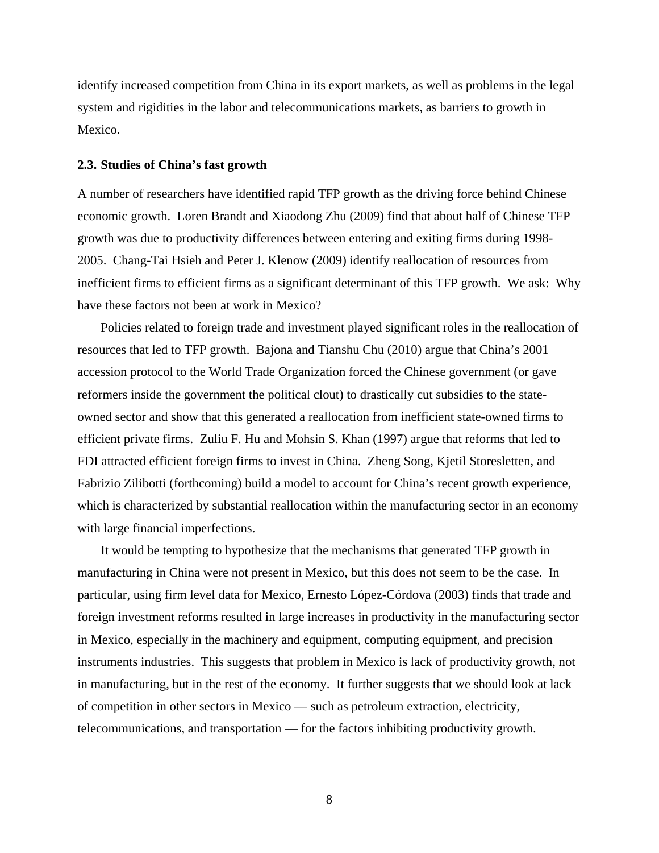identify increased competition from China in its export markets, as well as problems in the legal system and rigidities in the labor and telecommunications markets, as barriers to growth in Mexico.

#### **2.3. Studies of China's fast growth**

A number of researchers have identified rapid TFP growth as the driving force behind Chinese economic growth. Loren Brandt and Xiaodong Zhu (2009) find that about half of Chinese TFP growth was due to productivity differences between entering and exiting firms during 1998- 2005. Chang-Tai Hsieh and Peter J. Klenow (2009) identify reallocation of resources from inefficient firms to efficient firms as a significant determinant of this TFP growth. We ask: Why have these factors not been at work in Mexico?

Policies related to foreign trade and investment played significant roles in the reallocation of resources that led to TFP growth. Bajona and Tianshu Chu (2010) argue that China's 2001 accession protocol to the World Trade Organization forced the Chinese government (or gave reformers inside the government the political clout) to drastically cut subsidies to the stateowned sector and show that this generated a reallocation from inefficient state-owned firms to efficient private firms. Zuliu F. Hu and Mohsin S. Khan (1997) argue that reforms that led to FDI attracted efficient foreign firms to invest in China. Zheng Song, Kjetil Storesletten, and Fabrizio Zilibotti (forthcoming) build a model to account for China's recent growth experience, which is characterized by substantial reallocation within the manufacturing sector in an economy with large financial imperfections.

It would be tempting to hypothesize that the mechanisms that generated TFP growth in manufacturing in China were not present in Mexico, but this does not seem to be the case. In particular, using firm level data for Mexico, Ernesto López-Córdova (2003) finds that trade and foreign investment reforms resulted in large increases in productivity in the manufacturing sector in Mexico, especially in the machinery and equipment, computing equipment, and precision instruments industries. This suggests that problem in Mexico is lack of productivity growth, not in manufacturing, but in the rest of the economy. It further suggests that we should look at lack of competition in other sectors in Mexico — such as petroleum extraction, electricity, telecommunications, and transportation — for the factors inhibiting productivity growth.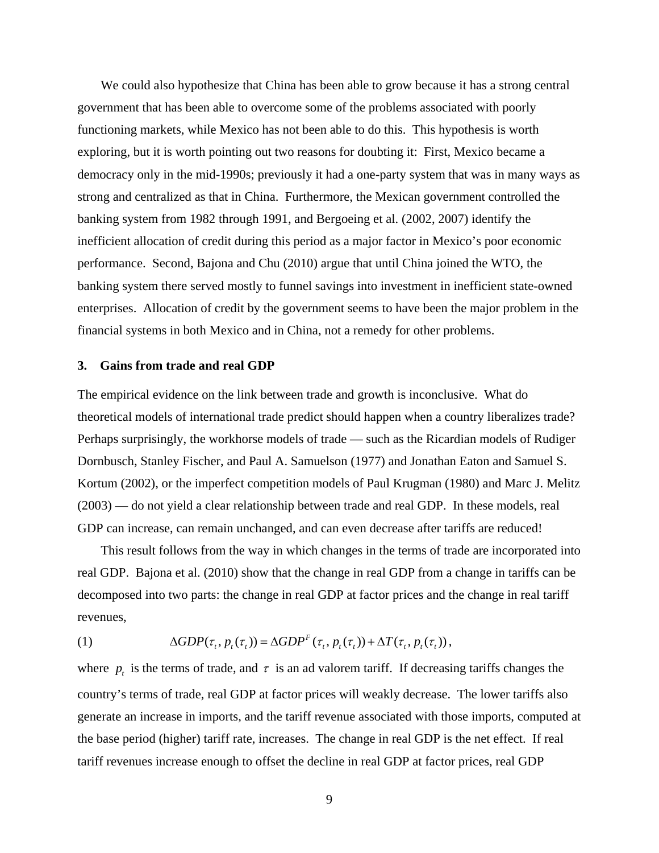We could also hypothesize that China has been able to grow because it has a strong central government that has been able to overcome some of the problems associated with poorly functioning markets, while Mexico has not been able to do this. This hypothesis is worth exploring, but it is worth pointing out two reasons for doubting it: First, Mexico became a democracy only in the mid-1990s; previously it had a one-party system that was in many ways as strong and centralized as that in China. Furthermore, the Mexican government controlled the banking system from 1982 through 1991, and Bergoeing et al. (2002, 2007) identify the inefficient allocation of credit during this period as a major factor in Mexico's poor economic performance. Second, Bajona and Chu (2010) argue that until China joined the WTO, the banking system there served mostly to funnel savings into investment in inefficient state-owned enterprises. Allocation of credit by the government seems to have been the major problem in the financial systems in both Mexico and in China, not a remedy for other problems.

#### **3. Gains from trade and real GDP**

The empirical evidence on the link between trade and growth is inconclusive. What do theoretical models of international trade predict should happen when a country liberalizes trade? Perhaps surprisingly, the workhorse models of trade — such as the Ricardian models of Rudiger Dornbusch, Stanley Fischer, and Paul A. Samuelson (1977) and Jonathan Eaton and Samuel S. Kortum (2002), or the imperfect competition models of Paul Krugman (1980) and Marc J. Melitz (2003) — do not yield a clear relationship between trade and real GDP. In these models, real GDP can increase, can remain unchanged, and can even decrease after tariffs are reduced!

This result follows from the way in which changes in the terms of trade are incorporated into real GDP. Bajona et al. (2010) show that the change in real GDP from a change in tariffs can be decomposed into two parts: the change in real GDP at factor prices and the change in real tariff revenues,

(1) 
$$
\Delta GDP(\tau_i, p_i(\tau_i)) = \Delta GDP^F(\tau_i, p_i(\tau_i)) + \Delta T(\tau_i, p_i(\tau_i)),
$$

where  $p_t$  is the terms of trade, and  $\tau$  is an ad valorem tariff. If decreasing tariffs changes the country's terms of trade, real GDP at factor prices will weakly decrease. The lower tariffs also generate an increase in imports, and the tariff revenue associated with those imports, computed at the base period (higher) tariff rate, increases. The change in real GDP is the net effect. If real tariff revenues increase enough to offset the decline in real GDP at factor prices, real GDP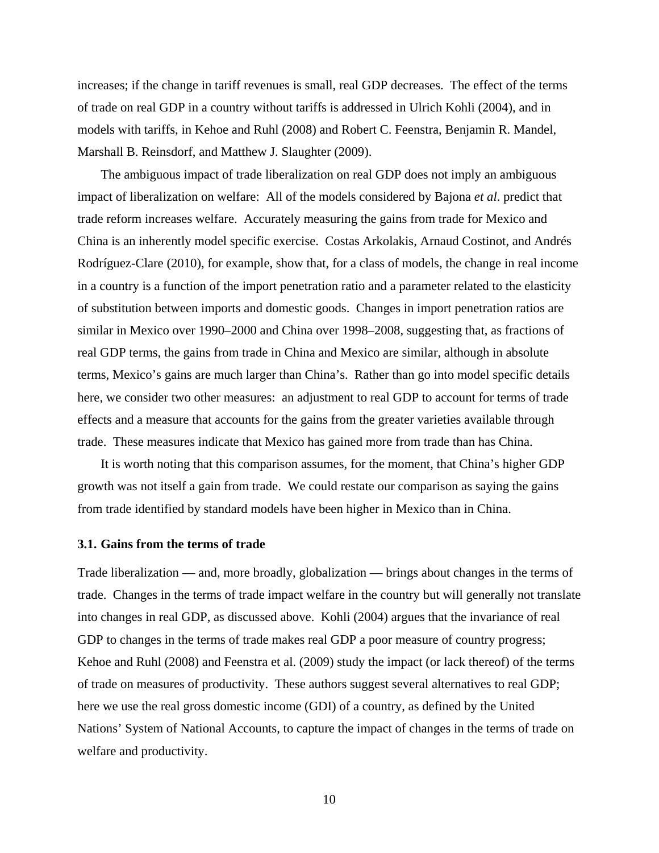increases; if the change in tariff revenues is small, real GDP decreases. The effect of the terms of trade on real GDP in a country without tariffs is addressed in Ulrich Kohli (2004), and in models with tariffs, in Kehoe and Ruhl (2008) and Robert C. Feenstra, Benjamin R. Mandel, Marshall B. Reinsdorf, and Matthew J. Slaughter (2009).

The ambiguous impact of trade liberalization on real GDP does not imply an ambiguous impact of liberalization on welfare: All of the models considered by Bajona *et al*. predict that trade reform increases welfare. Accurately measuring the gains from trade for Mexico and China is an inherently model specific exercise. Costas Arkolakis, Arnaud Costinot, and Andrés Rodríguez-Clare (2010), for example, show that, for a class of models, the change in real income in a country is a function of the import penetration ratio and a parameter related to the elasticity of substitution between imports and domestic goods. Changes in import penetration ratios are similar in Mexico over 1990–2000 and China over 1998–2008, suggesting that, as fractions of real GDP terms, the gains from trade in China and Mexico are similar, although in absolute terms, Mexico's gains are much larger than China's. Rather than go into model specific details here, we consider two other measures: an adjustment to real GDP to account for terms of trade effects and a measure that accounts for the gains from the greater varieties available through trade. These measures indicate that Mexico has gained more from trade than has China.

It is worth noting that this comparison assumes, for the moment, that China's higher GDP growth was not itself a gain from trade. We could restate our comparison as saying the gains from trade identified by standard models have been higher in Mexico than in China.

## **3.1. Gains from the terms of trade**

Trade liberalization — and, more broadly, globalization — brings about changes in the terms of trade. Changes in the terms of trade impact welfare in the country but will generally not translate into changes in real GDP, as discussed above. Kohli (2004) argues that the invariance of real GDP to changes in the terms of trade makes real GDP a poor measure of country progress; Kehoe and Ruhl (2008) and Feenstra et al. (2009) study the impact (or lack thereof) of the terms of trade on measures of productivity. These authors suggest several alternatives to real GDP; here we use the real gross domestic income (GDI) of a country, as defined by the United Nations' System of National Accounts, to capture the impact of changes in the terms of trade on welfare and productivity.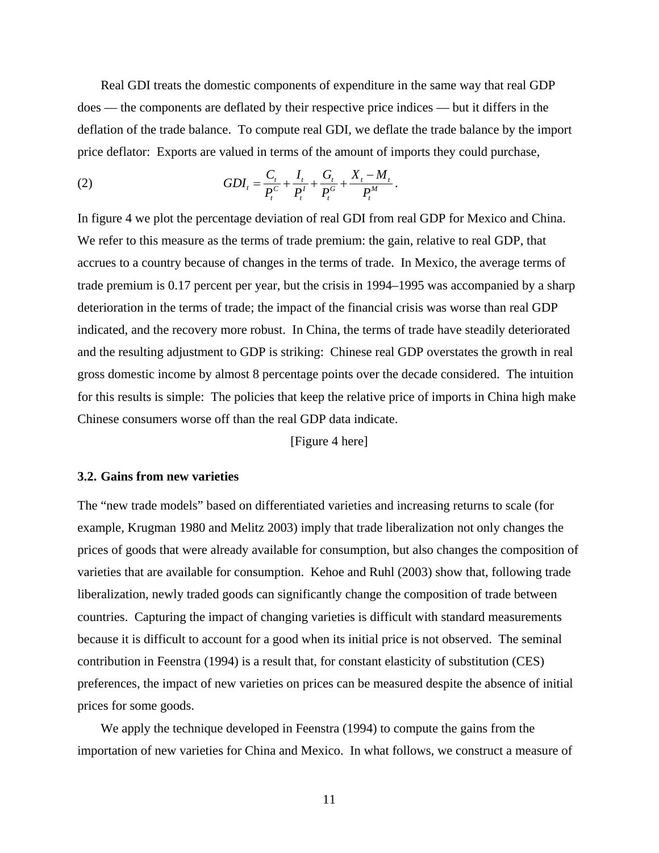Real GDI treats the domestic components of expenditure in the same way that real GDP does — the components are deflated by their respective price indices — but it differs in the deflation of the trade balance. To compute real GDI, we deflate the trade balance by the import price deflator: Exports are valued in terms of the amount of imports they could purchase,

(2) 
$$
GDI_{t} = \frac{C_{t}}{P_{t}^{C}} + \frac{I_{t}}{P_{t}^{I}} + \frac{G_{t}}{P_{t}^{G}} + \frac{X_{t} - M_{t}}{P_{t}^{M}}.
$$

In figure 4 we plot the percentage deviation of real GDI from real GDP for Mexico and China. We refer to this measure as the terms of trade premium: the gain, relative to real GDP, that accrues to a country because of changes in the terms of trade. In Mexico, the average terms of trade premium is 0.17 percent per year, but the crisis in 1994–1995 was accompanied by a sharp deterioration in the terms of trade; the impact of the financial crisis was worse than real GDP indicated, and the recovery more robust. In China, the terms of trade have steadily deteriorated and the resulting adjustment to GDP is striking: Chinese real GDP overstates the growth in real gross domestic income by almost 8 percentage points over the decade considered. The intuition for this results is simple: The policies that keep the relative price of imports in China high make Chinese consumers worse off than the real GDP data indicate.

[Figure 4 here]

## **3.2. Gains from new varieties**

The "new trade models" based on differentiated varieties and increasing returns to scale (for example, Krugman 1980 and Melitz 2003) imply that trade liberalization not only changes the prices of goods that were already available for consumption, but also changes the composition of varieties that are available for consumption. Kehoe and Ruhl (2003) show that, following trade liberalization, newly traded goods can significantly change the composition of trade between countries. Capturing the impact of changing varieties is difficult with standard measurements because it is difficult to account for a good when its initial price is not observed. The seminal contribution in Feenstra (1994) is a result that, for constant elasticity of substitution (CES) preferences, the impact of new varieties on prices can be measured despite the absence of initial prices for some goods.

We apply the technique developed in Feenstra (1994) to compute the gains from the importation of new varieties for China and Mexico. In what follows, we construct a measure of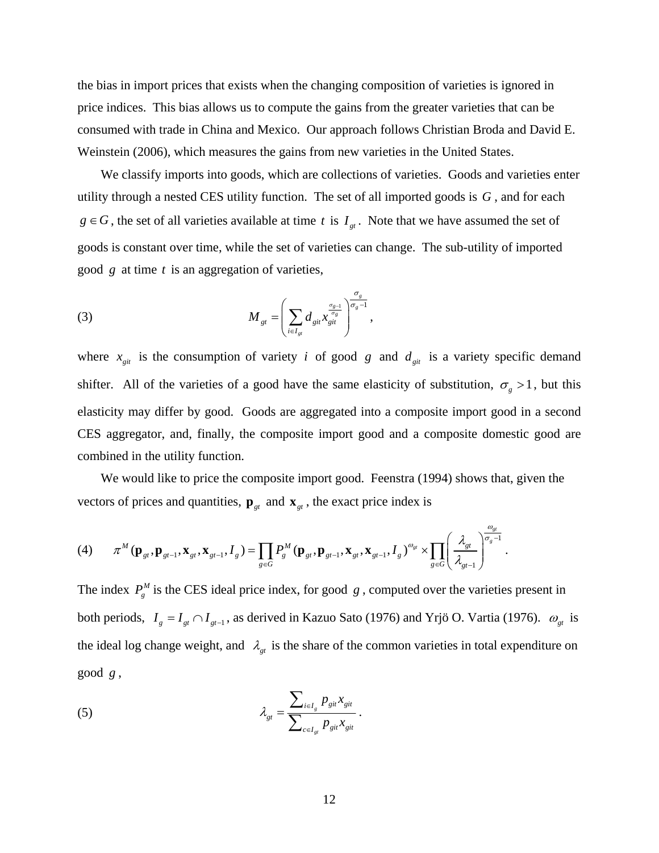the bias in import prices that exists when the changing composition of varieties is ignored in price indices. This bias allows us to compute the gains from the greater varieties that can be consumed with trade in China and Mexico. Our approach follows Christian Broda and David E. Weinstein (2006), which measures the gains from new varieties in the United States.

We classify imports into goods, which are collections of varieties. Goods and varieties enter utility through a nested CES utility function. The set of all imported goods is *G* , and for each  $g \in G$ , the set of all varieties available at time *t* is  $I_{gt}$ . Note that we have assumed the set of goods is constant over time, while the set of varieties can change. The sub-utility of imported good *g* at time *t* is an aggregation of varieties,

(3) 
$$
M_{\scriptscriptstyle{gt}} = \left(\sum_{i \in I_{\scriptscriptstyle{gt}}} d_{\scriptscriptstyle{gt}} \frac{\sigma_{\scriptscriptstyle{gt}}}{\sigma_{\scriptscriptstyle{gt}}} \right)^{\frac{\sigma_{\scriptscriptstyle{g}}}{\sigma_{\scriptscriptstyle{g}-1}}},
$$

where  $x_{gi}$  is the consumption of variety *i* of good *g* and  $d_{gi}$  is a variety specific demand shifter. All of the varieties of a good have the same elasticity of substitution,  $\sigma_{g} > 1$ , but this elasticity may differ by good. Goods are aggregated into a composite import good in a second CES aggregator, and, finally, the composite import good and a composite domestic good are combined in the utility function.

We would like to price the composite import good. Feenstra (1994) shows that, given the vectors of prices and quantities,  $\mathbf{p}_{gt}$  and  $\mathbf{x}_{gt}$ , the exact price index is

$$
(4) \qquad \pi^{M}\left(\mathbf{p}_{gt},\mathbf{p}_{gt-1},\mathbf{x}_{gt},\mathbf{x}_{gt-1},I_{g}\right)=\prod_{g\in G}P_{g}^{M}\left(\mathbf{p}_{gt},\mathbf{p}_{gt-1},\mathbf{x}_{gt},\mathbf{x}_{gt-1},I_{g}\right)^{\omega_{gt}}\times\prod_{g\in G}\left(\frac{\lambda_{gt}}{\lambda_{gt-1}}\right)^{\frac{\omega_{gt}}{\sigma_{g}-1}}.
$$

The index  $P_g^M$  is the CES ideal price index, for good *g*, computed over the varieties present in both periods,  $I_g = I_{gt} \cap I_{gt-1}$ , as derived in Kazuo Sato (1976) and Yrjö O. Vartia (1976).  $\omega_{gt}$  is the ideal log change weight, and  $\lambda_{gt}$  is the share of the common varieties in total expenditure on good *g* ,

(5) 
$$
\lambda_{gt} = \frac{\sum_{i \in I_s} p_{git} x_{git}}{\sum_{c \in I_{gt}} p_{git} x_{git}}.
$$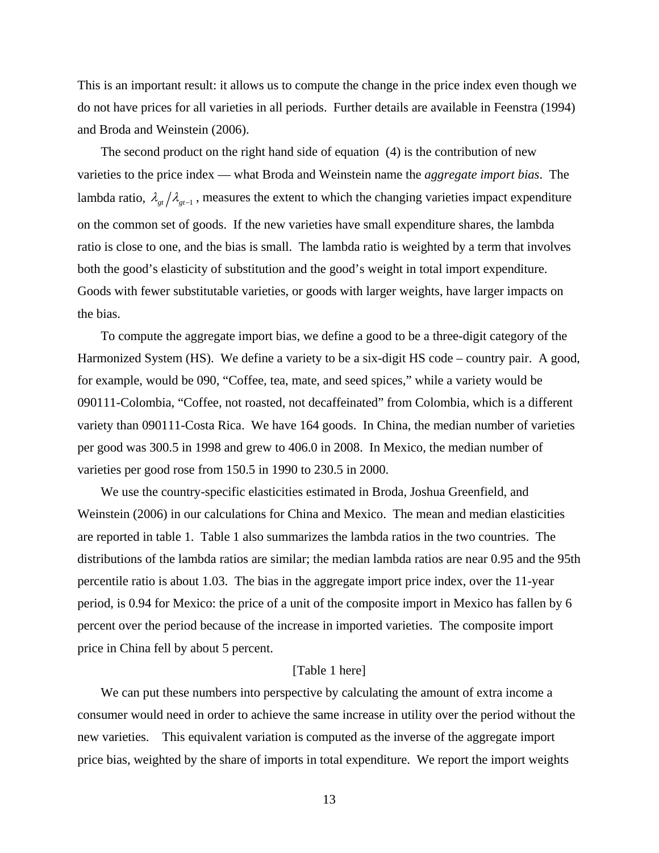This is an important result: it allows us to compute the change in the price index even though we do not have prices for all varieties in all periods. Further details are available in Feenstra (1994) and Broda and Weinstein (2006).

The second product on the right hand side of equation (4) is the contribution of new varieties to the price index — what Broda and Weinstein name the *aggregate import bias*. The lambda ratio,  $\lambda_{gt}/\lambda_{gt-1}$ , measures the extent to which the changing varieties impact expenditure on the common set of goods. If the new varieties have small expenditure shares, the lambda ratio is close to one, and the bias is small. The lambda ratio is weighted by a term that involves both the good's elasticity of substitution and the good's weight in total import expenditure. Goods with fewer substitutable varieties, or goods with larger weights, have larger impacts on the bias.

To compute the aggregate import bias, we define a good to be a three-digit category of the Harmonized System (HS). We define a variety to be a six-digit HS code – country pair. A good, for example, would be 090, "Coffee, tea, mate, and seed spices," while a variety would be 090111-Colombia, "Coffee, not roasted, not decaffeinated" from Colombia, which is a different variety than 090111-Costa Rica. We have 164 goods. In China, the median number of varieties per good was 300.5 in 1998 and grew to 406.0 in 2008. In Mexico, the median number of varieties per good rose from 150.5 in 1990 to 230.5 in 2000.

We use the country-specific elasticities estimated in Broda, Joshua Greenfield, and Weinstein (2006) in our calculations for China and Mexico. The mean and median elasticities are reported in table 1. Table 1 also summarizes the lambda ratios in the two countries. The distributions of the lambda ratios are similar; the median lambda ratios are near 0.95 and the 95th percentile ratio is about 1.03. The bias in the aggregate import price index, over the 11-year period, is 0.94 for Mexico: the price of a unit of the composite import in Mexico has fallen by 6 percent over the period because of the increase in imported varieties. The composite import price in China fell by about 5 percent.

## [Table 1 here]

We can put these numbers into perspective by calculating the amount of extra income a consumer would need in order to achieve the same increase in utility over the period without the new varieties. This equivalent variation is computed as the inverse of the aggregate import price bias, weighted by the share of imports in total expenditure. We report the import weights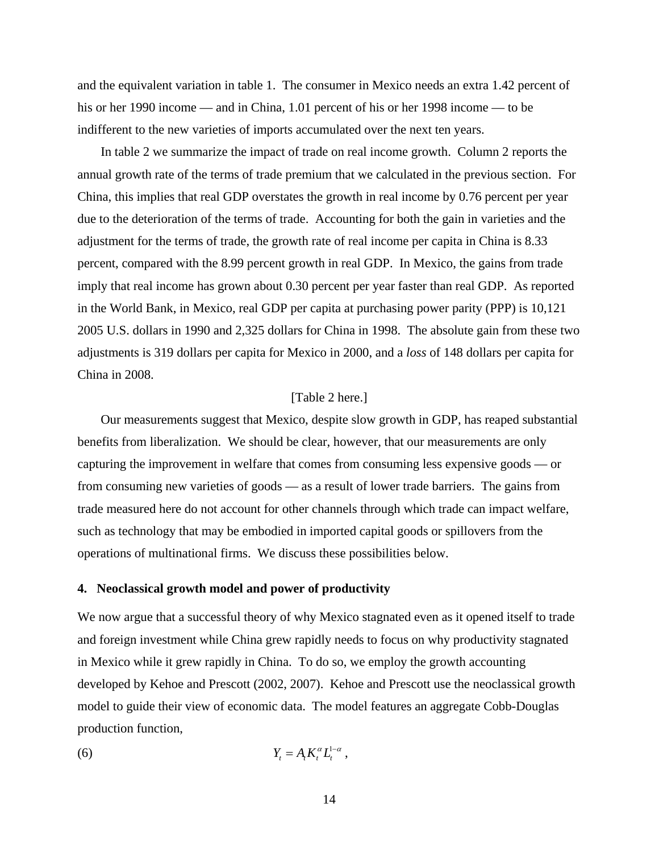and the equivalent variation in table 1. The consumer in Mexico needs an extra 1.42 percent of his or her 1990 income — and in China, 1.01 percent of his or her 1998 income — to be indifferent to the new varieties of imports accumulated over the next ten years.

In table 2 we summarize the impact of trade on real income growth. Column 2 reports the annual growth rate of the terms of trade premium that we calculated in the previous section. For China, this implies that real GDP overstates the growth in real income by 0.76 percent per year due to the deterioration of the terms of trade. Accounting for both the gain in varieties and the adjustment for the terms of trade, the growth rate of real income per capita in China is 8.33 percent, compared with the 8.99 percent growth in real GDP. In Mexico, the gains from trade imply that real income has grown about 0.30 percent per year faster than real GDP. As reported in the World Bank, in Mexico, real GDP per capita at purchasing power parity (PPP) is 10,121 2005 U.S. dollars in 1990 and 2,325 dollars for China in 1998. The absolute gain from these two adjustments is 319 dollars per capita for Mexico in 2000, and a *loss* of 148 dollars per capita for China in 2008.

## [Table 2 here.]

Our measurements suggest that Mexico, despite slow growth in GDP, has reaped substantial benefits from liberalization. We should be clear, however, that our measurements are only capturing the improvement in welfare that comes from consuming less expensive goods — or from consuming new varieties of goods — as a result of lower trade barriers. The gains from trade measured here do not account for other channels through which trade can impact welfare, such as technology that may be embodied in imported capital goods or spillovers from the operations of multinational firms. We discuss these possibilities below.

## **4. Neoclassical growth model and power of productivity**

We now argue that a successful theory of why Mexico stagnated even as it opened itself to trade and foreign investment while China grew rapidly needs to focus on why productivity stagnated in Mexico while it grew rapidly in China. To do so, we employ the growth accounting developed by Kehoe and Prescott (2002, 2007). Kehoe and Prescott use the neoclassical growth model to guide their view of economic data. The model features an aggregate Cobb-Douglas production function,

$$
(6) \t Y_t = A_t K_t^{\alpha} L_t^{1-\alpha} ,
$$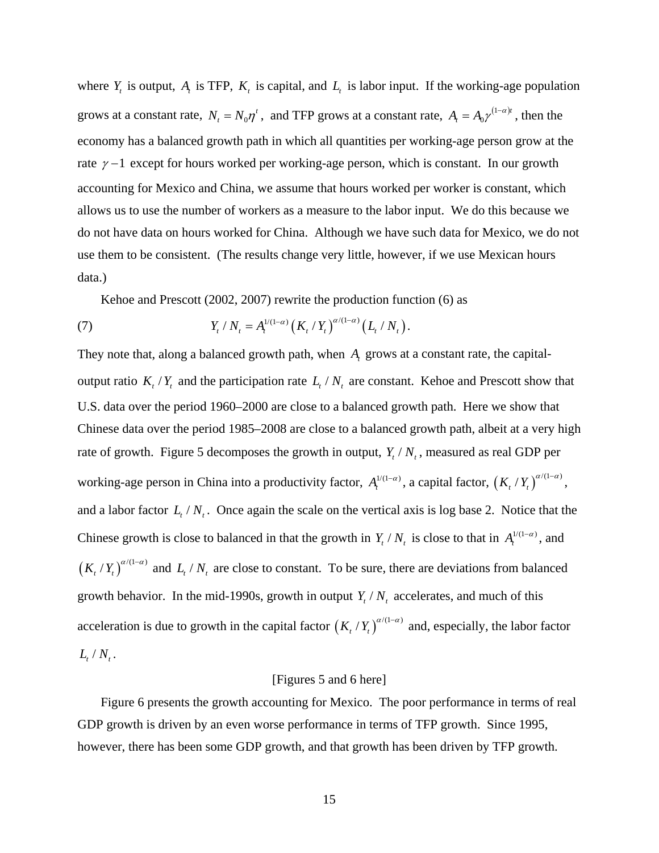where  $Y_t$  is output,  $A_t$  is TFP,  $K_t$  is capital, and  $L_t$  is labor input. If the working-age population grows at a constant rate,  $N_t = N_0 \eta^t$ , and TFP grows at a constant rate,  $A_t = A_0 \gamma^{(1-\alpha)t}$ , then the economy has a balanced growth path in which all quantities per working-age person grow at the rate  $\gamma$  –1 except for hours worked per working-age person, which is constant. In our growth accounting for Mexico and China, we assume that hours worked per worker is constant, which allows us to use the number of workers as a measure to the labor input. We do this because we do not have data on hours worked for China. Although we have such data for Mexico, we do not use them to be consistent. (The results change very little, however, if we use Mexican hours data.)

Kehoe and Prescott (2002, 2007) rewrite the production function (6) as

(7) 
$$
Y_t / N_t = A_t^{1/(1-\alpha)} (K_t / Y_t)^{\alpha/(1-\alpha)} (L_t / N_t).
$$

They note that, along a balanced growth path, when  $A_t$  grows at a constant rate, the capitaloutput ratio  $K_t/Y_t$  and the participation rate  $L_t/N_t$  are constant. Kehoe and Prescott show that U.S. data over the period 1960–2000 are close to a balanced growth path. Here we show that Chinese data over the period 1985–2008 are close to a balanced growth path, albeit at a very high rate of growth. Figure 5 decomposes the growth in output,  $Y_t / N_t$ , measured as real GDP per working-age person in China into a productivity factor,  $A_t^{1/(1-\alpha)}$ , a capital factor,  $(K_t/Y_t)^{\alpha/(1-\alpha)}$ , and a labor factor  $L_t / N_t$ . Once again the scale on the vertical axis is log base 2. Notice that the Chinese growth is close to balanced in that the growth in  $Y_t / N_t$  is close to that in  $A_t^{1/(1-\alpha)}$ , and  $(K_t / Y_t)^{\alpha/(1-\alpha)}$  and  $L_t / N_t$  are close to constant. To be sure, there are deviations from balanced growth behavior. In the mid-1990s, growth in output  $Y_t / N_t$  accelerates, and much of this acceleration is due to growth in the capital factor  $(K_t / K_t)^{\alpha/(1-\alpha)}$  and, especially, the labor factor  $L_{\rm t}$  /  $N_{\rm t}$ .

#### [Figures 5 and 6 here]

Figure 6 presents the growth accounting for Mexico. The poor performance in terms of real GDP growth is driven by an even worse performance in terms of TFP growth. Since 1995, however, there has been some GDP growth, and that growth has been driven by TFP growth.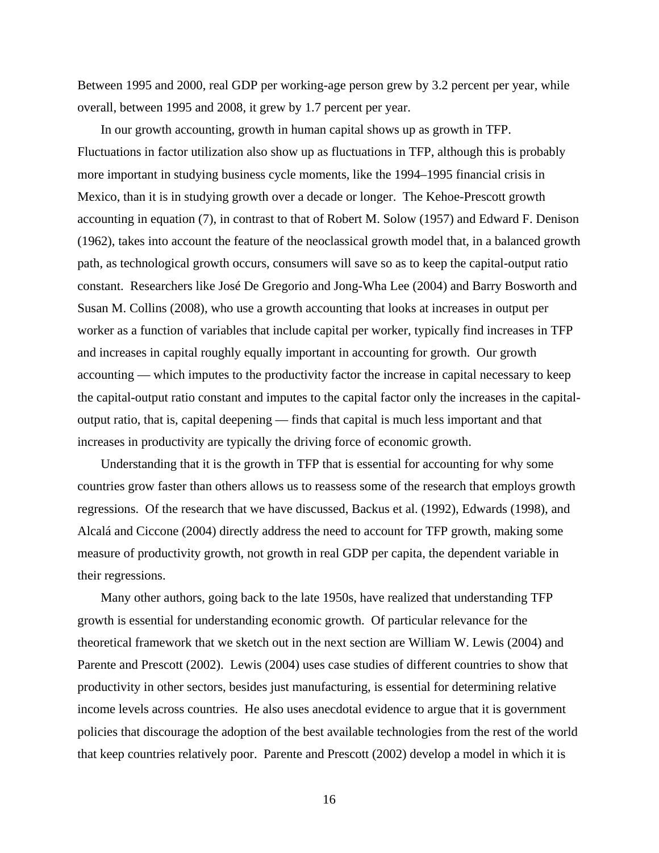Between 1995 and 2000, real GDP per working-age person grew by 3.2 percent per year, while overall, between 1995 and 2008, it grew by 1.7 percent per year.

In our growth accounting, growth in human capital shows up as growth in TFP. Fluctuations in factor utilization also show up as fluctuations in TFP, although this is probably more important in studying business cycle moments, like the 1994–1995 financial crisis in Mexico, than it is in studying growth over a decade or longer. The Kehoe-Prescott growth accounting in equation (7), in contrast to that of Robert M. Solow (1957) and Edward F. Denison (1962), takes into account the feature of the neoclassical growth model that, in a balanced growth path, as technological growth occurs, consumers will save so as to keep the capital-output ratio constant. Researchers like José De Gregorio and Jong-Wha Lee (2004) and Barry Bosworth and Susan M. Collins (2008), who use a growth accounting that looks at increases in output per worker as a function of variables that include capital per worker, typically find increases in TFP and increases in capital roughly equally important in accounting for growth. Our growth accounting — which imputes to the productivity factor the increase in capital necessary to keep the capital-output ratio constant and imputes to the capital factor only the increases in the capitaloutput ratio, that is, capital deepening — finds that capital is much less important and that increases in productivity are typically the driving force of economic growth.

Understanding that it is the growth in TFP that is essential for accounting for why some countries grow faster than others allows us to reassess some of the research that employs growth regressions. Of the research that we have discussed, Backus et al. (1992), Edwards (1998), and Alcalá and Ciccone (2004) directly address the need to account for TFP growth, making some measure of productivity growth, not growth in real GDP per capita, the dependent variable in their regressions.

Many other authors, going back to the late 1950s, have realized that understanding TFP growth is essential for understanding economic growth. Of particular relevance for the theoretical framework that we sketch out in the next section are William W. Lewis (2004) and Parente and Prescott (2002). Lewis (2004) uses case studies of different countries to show that productivity in other sectors, besides just manufacturing, is essential for determining relative income levels across countries. He also uses anecdotal evidence to argue that it is government policies that discourage the adoption of the best available technologies from the rest of the world that keep countries relatively poor. Parente and Prescott (2002) develop a model in which it is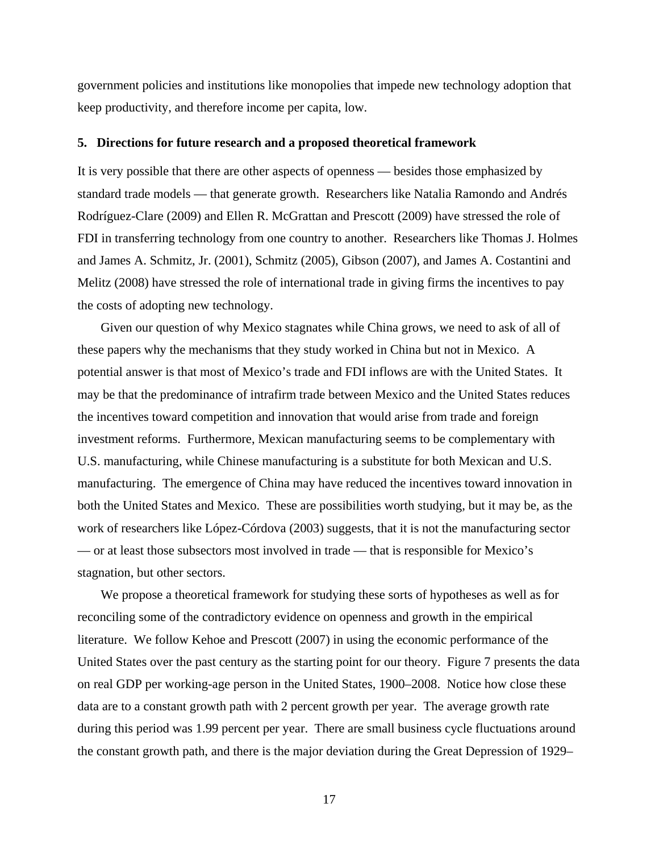government policies and institutions like monopolies that impede new technology adoption that keep productivity, and therefore income per capita, low.

#### **5. Directions for future research and a proposed theoretical framework**

It is very possible that there are other aspects of openness — besides those emphasized by standard trade models — that generate growth. Researchers like Natalia Ramondo and Andrés Rodríguez-Clare (2009) and Ellen R. McGrattan and Prescott (2009) have stressed the role of FDI in transferring technology from one country to another. Researchers like Thomas J. Holmes and James A. Schmitz, Jr. (2001), Schmitz (2005), Gibson (2007), and James A. Costantini and Melitz (2008) have stressed the role of international trade in giving firms the incentives to pay the costs of adopting new technology.

Given our question of why Mexico stagnates while China grows, we need to ask of all of these papers why the mechanisms that they study worked in China but not in Mexico. A potential answer is that most of Mexico's trade and FDI inflows are with the United States. It may be that the predominance of intrafirm trade between Mexico and the United States reduces the incentives toward competition and innovation that would arise from trade and foreign investment reforms. Furthermore, Mexican manufacturing seems to be complementary with U.S. manufacturing, while Chinese manufacturing is a substitute for both Mexican and U.S. manufacturing. The emergence of China may have reduced the incentives toward innovation in both the United States and Mexico. These are possibilities worth studying, but it may be, as the work of researchers like López-Córdova (2003) suggests, that it is not the manufacturing sector — or at least those subsectors most involved in trade — that is responsible for Mexico's stagnation, but other sectors.

We propose a theoretical framework for studying these sorts of hypotheses as well as for reconciling some of the contradictory evidence on openness and growth in the empirical literature. We follow Kehoe and Prescott (2007) in using the economic performance of the United States over the past century as the starting point for our theory. Figure 7 presents the data on real GDP per working-age person in the United States, 1900–2008. Notice how close these data are to a constant growth path with 2 percent growth per year. The average growth rate during this period was 1.99 percent per year. There are small business cycle fluctuations around the constant growth path, and there is the major deviation during the Great Depression of 1929–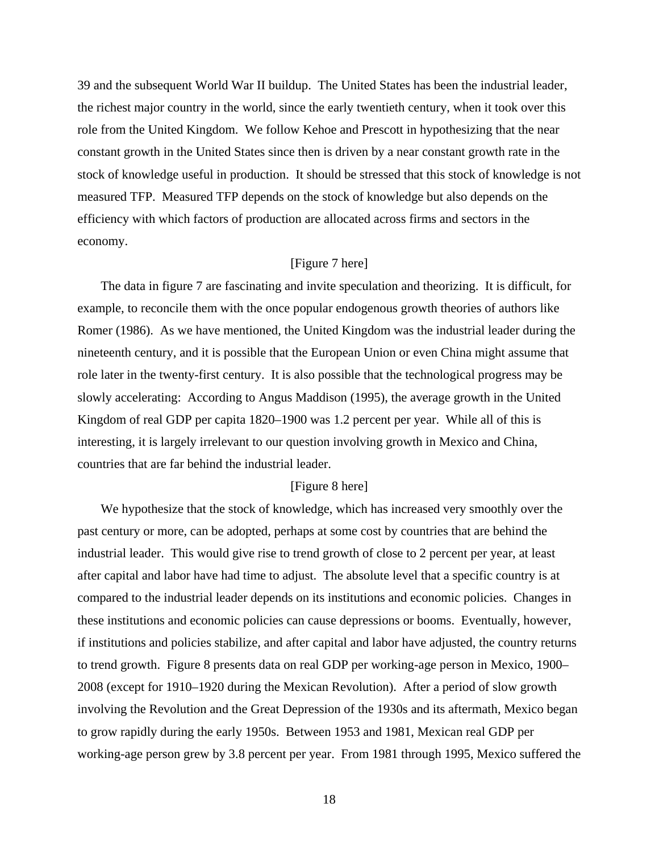39 and the subsequent World War II buildup. The United States has been the industrial leader, the richest major country in the world, since the early twentieth century, when it took over this role from the United Kingdom. We follow Kehoe and Prescott in hypothesizing that the near constant growth in the United States since then is driven by a near constant growth rate in the stock of knowledge useful in production. It should be stressed that this stock of knowledge is not measured TFP. Measured TFP depends on the stock of knowledge but also depends on the efficiency with which factors of production are allocated across firms and sectors in the economy.

## [Figure 7 here]

The data in figure 7 are fascinating and invite speculation and theorizing. It is difficult, for example, to reconcile them with the once popular endogenous growth theories of authors like Romer (1986). As we have mentioned, the United Kingdom was the industrial leader during the nineteenth century, and it is possible that the European Union or even China might assume that role later in the twenty-first century. It is also possible that the technological progress may be slowly accelerating: According to Angus Maddison (1995), the average growth in the United Kingdom of real GDP per capita 1820–1900 was 1.2 percent per year. While all of this is interesting, it is largely irrelevant to our question involving growth in Mexico and China, countries that are far behind the industrial leader.

## [Figure 8 here]

We hypothesize that the stock of knowledge, which has increased very smoothly over the past century or more, can be adopted, perhaps at some cost by countries that are behind the industrial leader. This would give rise to trend growth of close to 2 percent per year, at least after capital and labor have had time to adjust. The absolute level that a specific country is at compared to the industrial leader depends on its institutions and economic policies. Changes in these institutions and economic policies can cause depressions or booms. Eventually, however, if institutions and policies stabilize, and after capital and labor have adjusted, the country returns to trend growth. Figure 8 presents data on real GDP per working-age person in Mexico, 1900– 2008 (except for 1910–1920 during the Mexican Revolution). After a period of slow growth involving the Revolution and the Great Depression of the 1930s and its aftermath, Mexico began to grow rapidly during the early 1950s. Between 1953 and 1981, Mexican real GDP per working-age person grew by 3.8 percent per year. From 1981 through 1995, Mexico suffered the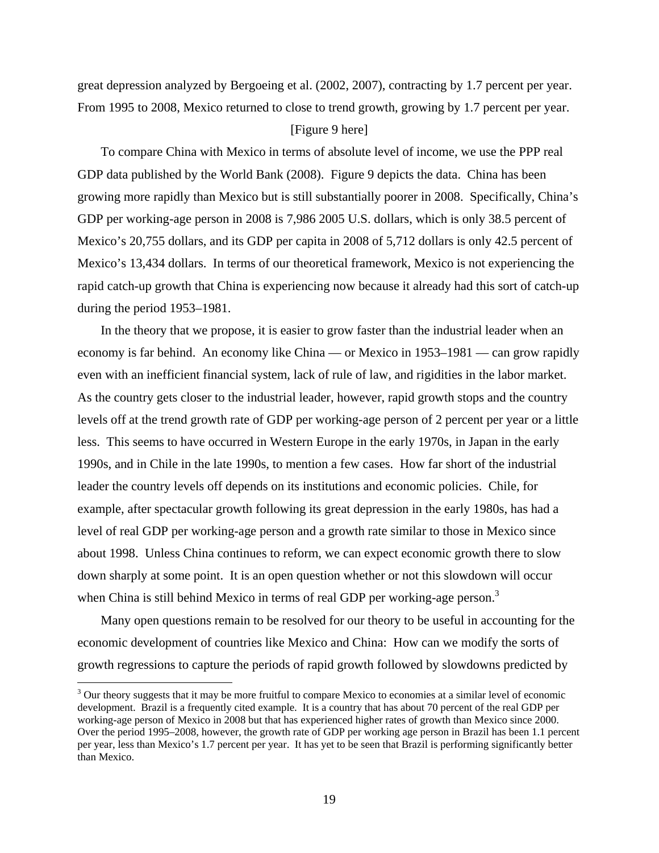great depression analyzed by Bergoeing et al. (2002, 2007), contracting by 1.7 percent per year. From 1995 to 2008, Mexico returned to close to trend growth, growing by 1.7 percent per year.

## [Figure 9 here]

To compare China with Mexico in terms of absolute level of income, we use the PPP real GDP data published by the World Bank (2008). Figure 9 depicts the data. China has been growing more rapidly than Mexico but is still substantially poorer in 2008. Specifically, China's GDP per working-age person in 2008 is 7,986 2005 U.S. dollars, which is only 38.5 percent of Mexico's 20,755 dollars, and its GDP per capita in 2008 of 5,712 dollars is only 42.5 percent of Mexico's 13,434 dollars. In terms of our theoretical framework, Mexico is not experiencing the rapid catch-up growth that China is experiencing now because it already had this sort of catch-up during the period 1953–1981.

In the theory that we propose, it is easier to grow faster than the industrial leader when an economy is far behind. An economy like China — or Mexico in 1953–1981 — can grow rapidly even with an inefficient financial system, lack of rule of law, and rigidities in the labor market. As the country gets closer to the industrial leader, however, rapid growth stops and the country levels off at the trend growth rate of GDP per working-age person of 2 percent per year or a little less. This seems to have occurred in Western Europe in the early 1970s, in Japan in the early 1990s, and in Chile in the late 1990s, to mention a few cases. How far short of the industrial leader the country levels off depends on its institutions and economic policies. Chile, for example, after spectacular growth following its great depression in the early 1980s, has had a level of real GDP per working-age person and a growth rate similar to those in Mexico since about 1998. Unless China continues to reform, we can expect economic growth there to slow down sharply at some point. It is an open question whether or not this slowdown will occur when China is still behind Mexico in terms of real GDP per working-age person.<sup>3</sup>

Many open questions remain to be resolved for our theory to be useful in accounting for the economic development of countries like Mexico and China: How can we modify the sorts of growth regressions to capture the periods of rapid growth followed by slowdowns predicted by

 $\overline{a}$ 

 $3$  Our theory suggests that it may be more fruitful to compare Mexico to economies at a similar level of economic development. Brazil is a frequently cited example. It is a country that has about 70 percent of the real GDP per working-age person of Mexico in 2008 but that has experienced higher rates of growth than Mexico since 2000. Over the period 1995–2008, however, the growth rate of GDP per working age person in Brazil has been 1.1 percent per year, less than Mexico's 1.7 percent per year. It has yet to be seen that Brazil is performing significantly better than Mexico.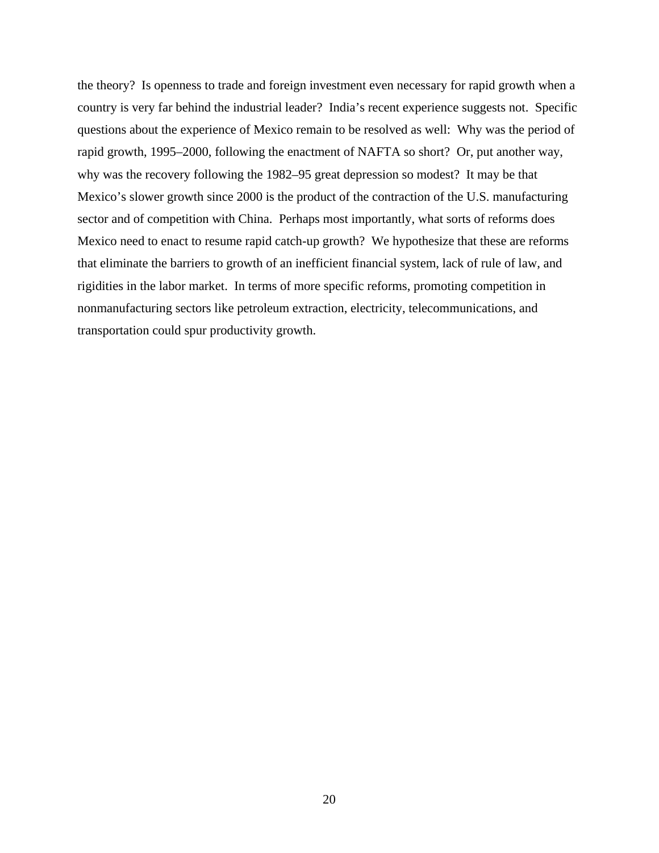the theory? Is openness to trade and foreign investment even necessary for rapid growth when a country is very far behind the industrial leader? India's recent experience suggests not. Specific questions about the experience of Mexico remain to be resolved as well: Why was the period of rapid growth, 1995–2000, following the enactment of NAFTA so short? Or, put another way, why was the recovery following the 1982–95 great depression so modest? It may be that Mexico's slower growth since 2000 is the product of the contraction of the U.S. manufacturing sector and of competition with China. Perhaps most importantly, what sorts of reforms does Mexico need to enact to resume rapid catch-up growth? We hypothesize that these are reforms that eliminate the barriers to growth of an inefficient financial system, lack of rule of law, and rigidities in the labor market. In terms of more specific reforms, promoting competition in nonmanufacturing sectors like petroleum extraction, electricity, telecommunications, and transportation could spur productivity growth.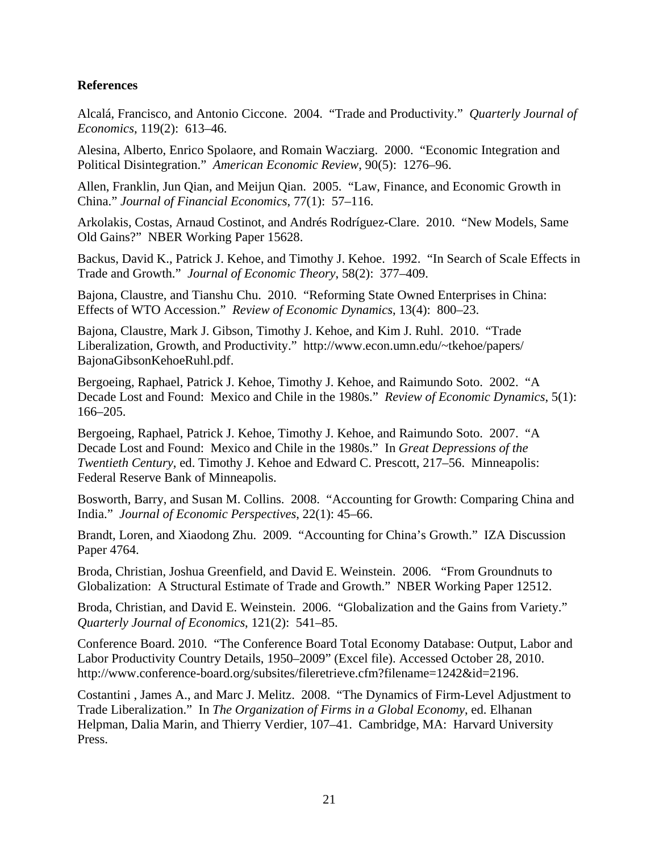# **References**

Alcalá, Francisco, and Antonio Ciccone. 2004. "Trade and Productivity." *Quarterly Journal of Economics*, 119(2): 613–46.

Alesina, Alberto, Enrico Spolaore, and Romain Wacziarg. 2000. "Economic Integration and Political Disintegration." *American Economic Review*, 90(5): 1276–96.

Allen, Franklin, Jun Qian, and Meijun Qian. 2005. "Law, Finance, and Economic Growth in China." *Journal of Financial Economics*, 77(1): 57–116.

Arkolakis, Costas, Arnaud Costinot, and Andrés Rodríguez-Clare. 2010. "New Models, Same Old Gains?" NBER Working Paper 15628.

Backus, David K., Patrick J. Kehoe, and Timothy J. Kehoe. 1992. "In Search of Scale Effects in Trade and Growth." *Journal of Economic Theory*, 58(2): 377–409.

Bajona, Claustre, and Tianshu Chu. 2010. "Reforming State Owned Enterprises in China: Effects of WTO Accession." *Review of Economic Dynamics*, 13(4): 800–23.

Bajona, Claustre, Mark J. Gibson, Timothy J. Kehoe, and Kim J. Ruhl. 2010. "Trade Liberalization, Growth, and Productivity." http://www.econ.umn.edu/~tkehoe/papers/ BajonaGibsonKehoeRuhl.pdf.

Bergoeing, Raphael, Patrick J. Kehoe, Timothy J. Kehoe, and Raimundo Soto. 2002. "A Decade Lost and Found: Mexico and Chile in the 1980s." *Review of Economic Dynamics*, 5(1): 166–205.

Bergoeing, Raphael, Patrick J. Kehoe, Timothy J. Kehoe, and Raimundo Soto. 2007. "A Decade Lost and Found: Mexico and Chile in the 1980s." In *Great Depressions of the Twentieth Century*, ed. Timothy J. Kehoe and Edward C. Prescott, 217–56. Minneapolis: Federal Reserve Bank of Minneapolis.

Bosworth, Barry, and Susan M. Collins. 2008. "Accounting for Growth: Comparing China and India." *Journal of Economic Perspectives*, 22(1): 45–66.

Brandt, Loren, and Xiaodong Zhu. 2009. "Accounting for China's Growth." IZA Discussion Paper 4764.

Broda, Christian, Joshua Greenfield, and David E. Weinstein. 2006. "From Groundnuts to Globalization: A Structural Estimate of Trade and Growth." NBER Working Paper 12512.

Broda, Christian, and David E. Weinstein. 2006. "Globalization and the Gains from Variety." *Quarterly Journal of Economics*, 121(2): 541–85.

Conference Board. 2010. "The Conference Board Total Economy Database: Output, Labor and Labor Productivity Country Details, 1950–2009" (Excel file). Accessed October 28, 2010. http://www.conference-board.org/subsites/fileretrieve.cfm?filename=1242&id=2196.

Costantini , James A., and Marc J. Melitz. 2008. "The Dynamics of Firm-Level Adjustment to Trade Liberalization." In *The Organization of Firms in a Global Economy*, ed. Elhanan Helpman, Dalia Marin, and Thierry Verdier, 107–41. Cambridge, MA: Harvard University Press.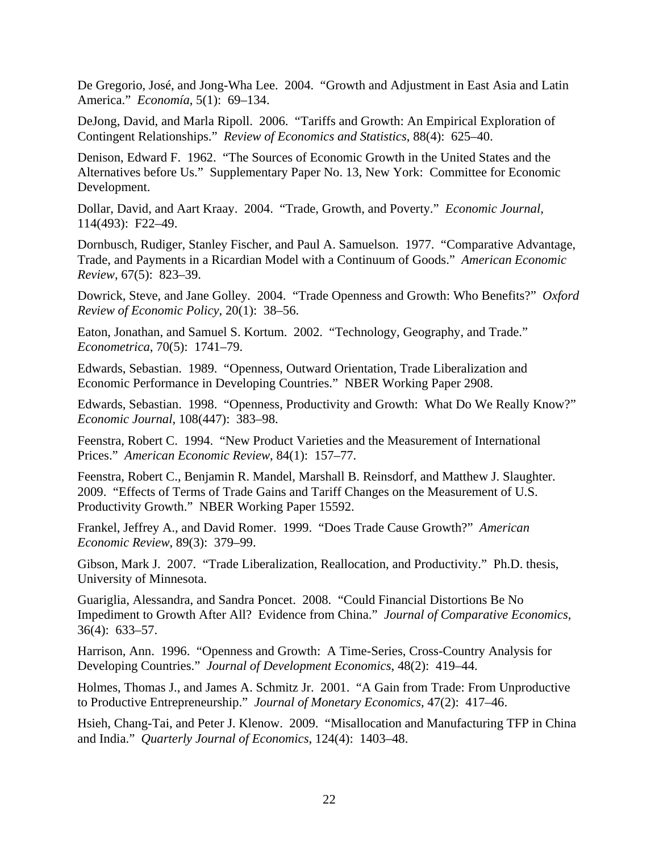De Gregorio, José, and Jong-Wha Lee. 2004. "Growth and Adjustment in East Asia and Latin America." *Economía*, 5(1): 69–134.

DeJong, David, and Marla Ripoll. 2006. "Tariffs and Growth: An Empirical Exploration of Contingent Relationships." *Review of Economics and Statistics*, 88(4): 625–40.

Denison, Edward F. 1962. "The Sources of Economic Growth in the United States and the Alternatives before Us." Supplementary Paper No. 13, New York: Committee for Economic Development.

Dollar, David, and Aart Kraay. 2004. "Trade, Growth, and Poverty." *Economic Journal,* 114(493): F22–49.

Dornbusch, Rudiger, Stanley Fischer, and Paul A. Samuelson. 1977. "Comparative Advantage, Trade, and Payments in a Ricardian Model with a Continuum of Goods." *American Economic Review*, 67(5): 823–39.

Dowrick, Steve, and Jane Golley. 2004. "Trade Openness and Growth: Who Benefits?" *Oxford Review of Economic Policy*, 20(1): 38–56.

Eaton, Jonathan, and Samuel S. Kortum. 2002. "Technology, Geography, and Trade." *Econometrica*, 70(5): 1741–79.

Edwards, Sebastian. 1989. "Openness, Outward Orientation, Trade Liberalization and Economic Performance in Developing Countries." NBER Working Paper 2908.

Edwards, Sebastian. 1998. "Openness, Productivity and Growth: What Do We Really Know?" *Economic Journal*, 108(447): 383–98.

Feenstra, Robert C. 1994. "New Product Varieties and the Measurement of International Prices." *American Economic Review*, 84(1): 157–77.

Feenstra, Robert C., Benjamin R. Mandel, Marshall B. Reinsdorf, and Matthew J. Slaughter. 2009. "Effects of Terms of Trade Gains and Tariff Changes on the Measurement of U.S. Productivity Growth." NBER Working Paper 15592.

Frankel, Jeffrey A., and David Romer. 1999. "Does Trade Cause Growth?" *American Economic Review*, 89(3): 379–99.

Gibson, Mark J. 2007. "Trade Liberalization, Reallocation, and Productivity." Ph.D. thesis, University of Minnesota.

Guariglia, Alessandra, and Sandra Poncet. 2008. "Could Financial Distortions Be No Impediment to Growth After All? Evidence from China." *Journal of Comparative Economics,* 36(4): 633–57.

Harrison, Ann. 1996. "Openness and Growth: A Time-Series, Cross-Country Analysis for Developing Countries." *Journal of Development Economics*, 48(2): 419–44.

Holmes, Thomas J., and James A. Schmitz Jr. 2001. "A Gain from Trade: From Unproductive to Productive Entrepreneurship." *Journal of Monetary Economics*, 47(2): 417–46.

Hsieh, Chang-Tai, and Peter J. Klenow. 2009. "Misallocation and Manufacturing TFP in China and India." *Quarterly Journal of Economics*, 124(4): 1403–48.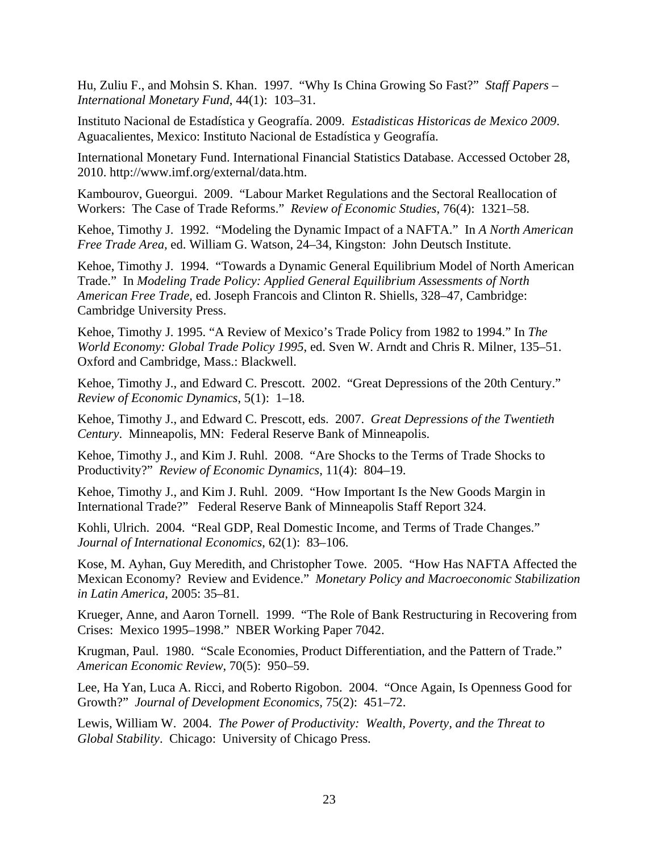Hu, Zuliu F., and Mohsin S. Khan. 1997. "Why Is China Growing So Fast?" *Staff Papers – International Monetary Fund*, 44(1): 103–31.

Instituto Nacional de Estadística y Geografía. 2009. *Estadisticas Historicas de Mexico 2009*. Aguacalientes, Mexico: Instituto Nacional de Estadística y Geografía.

International Monetary Fund. International Financial Statistics Database. Accessed October 28, 2010. http://www.imf.org/external/data.htm.

Kambourov, Gueorgui. 2009. "Labour Market Regulations and the Sectoral Reallocation of Workers: The Case of Trade Reforms." *Review of Economic Studies*, 76(4): 1321–58.

Kehoe, Timothy J. 1992. "Modeling the Dynamic Impact of a NAFTA." In *A North American Free Trade Area,* ed. William G. Watson, 24–34, Kingston: John Deutsch Institute.

Kehoe, Timothy J. 1994. "Towards a Dynamic General Equilibrium Model of North American Trade." In *Modeling Trade Policy: Applied General Equilibrium Assessments of North American Free Trade,* ed. Joseph Francois and Clinton R. Shiells, 328–47, Cambridge: Cambridge University Press.

Kehoe, Timothy J. 1995. "A Review of Mexico's Trade Policy from 1982 to 1994." In *The World Economy: Global Trade Policy 1995*, ed. Sven W. Arndt and Chris R. Milner, 135–51. Oxford and Cambridge, Mass.: Blackwell.

Kehoe, Timothy J., and Edward C. Prescott. 2002. "Great Depressions of the 20th Century." *Review of Economic Dynamics*, 5(1): 1–18.

Kehoe, Timothy J., and Edward C. Prescott, eds. 2007. *Great Depressions of the Twentieth Century*. Minneapolis, MN: Federal Reserve Bank of Minneapolis.

Kehoe, Timothy J., and Kim J. Ruhl. 2008. "Are Shocks to the Terms of Trade Shocks to Productivity?" *Review of Economic Dynamics*, 11(4): 804–19.

Kehoe, Timothy J., and Kim J. Ruhl. 2009. "How Important Is the New Goods Margin in International Trade?" Federal Reserve Bank of Minneapolis Staff Report 324.

Kohli, Ulrich. 2004. "Real GDP, Real Domestic Income, and Terms of Trade Changes." *Journal of International Economics*, 62(1): 83–106.

Kose, M. Ayhan, Guy Meredith, and Christopher Towe. 2005. "How Has NAFTA Affected the Mexican Economy? Review and Evidence." *Monetary Policy and Macroeconomic Stabilization in Latin America*, 2005: 35–81.

Krueger, Anne, and Aaron Tornell. 1999. "The Role of Bank Restructuring in Recovering from Crises: Mexico 1995–1998." NBER Working Paper 7042.

Krugman, Paul. 1980. "Scale Economies, Product Differentiation, and the Pattern of Trade." *American Economic Review*, 70(5): 950–59.

Lee, Ha Yan, Luca A. Ricci, and Roberto Rigobon. 2004. "Once Again, Is Openness Good for Growth?" *Journal of Development Economics,* 75(2): 451–72.

Lewis, William W. 2004. *The Power of Productivity: Wealth, Poverty, and the Threat to Global Stability*. Chicago: University of Chicago Press.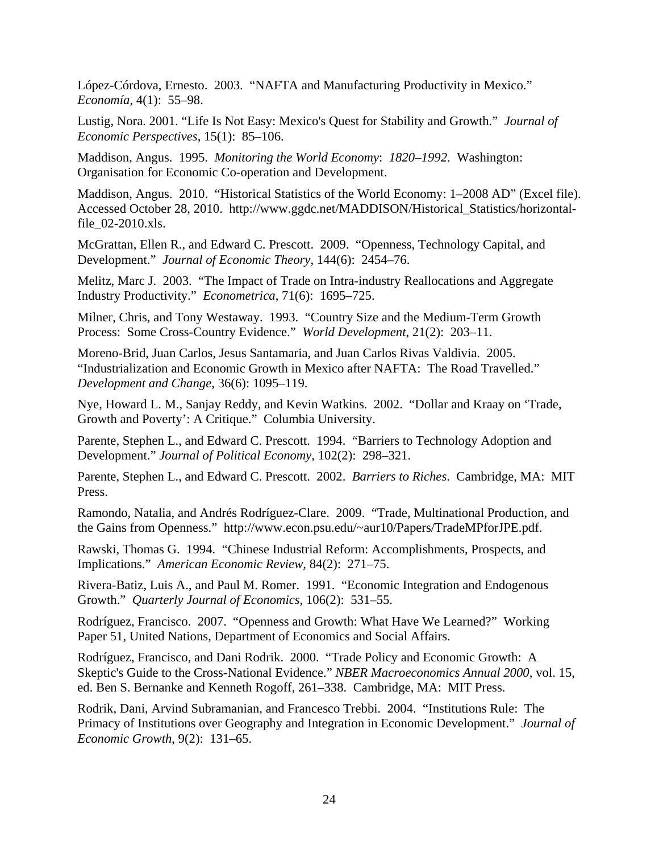López-Córdova, Ernesto. 2003. "NAFTA and Manufacturing Productivity in Mexico." *Economía*, 4(1): 55–98.

Lustig, Nora. 2001. "Life Is Not Easy: Mexico's Quest for Stability and Growth." *Journal of Economic Perspectives*, 15(1): 85–106.

Maddison, Angus. 1995. *Monitoring the World Economy*: *1820–1992*. Washington: Organisation for Economic Co-operation and Development.

Maddison, Angus. 2010. "Historical Statistics of the World Economy: 1–2008 AD" (Excel file). Accessed October 28, 2010. http://www.ggdc.net/MADDISON/Historical\_Statistics/horizontalfile\_02-2010.xls.

McGrattan, Ellen R., and Edward C. Prescott. 2009. "Openness, Technology Capital, and Development." *Journal of Economic Theory*, 144(6): 2454–76.

Melitz, Marc J. 2003. "The Impact of Trade on Intra-industry Reallocations and Aggregate Industry Productivity." *Econometrica*, 71(6): 1695–725.

Milner, Chris, and Tony Westaway. 1993. "Country Size and the Medium-Term Growth Process: Some Cross-Country Evidence." *World Development*, 21(2): 203–11.

Moreno-Brid, Juan Carlos, Jesus Santamaria, and Juan Carlos Rivas Valdivia. 2005. "Industrialization and Economic Growth in Mexico after NAFTA: The Road Travelled." *Development and Change*, 36(6): 1095–119.

Nye, Howard L. M., Sanjay Reddy, and Kevin Watkins. 2002. "Dollar and Kraay on 'Trade, Growth and Poverty': A Critique." Columbia University.

Parente, Stephen L., and Edward C. Prescott. 1994. "Barriers to Technology Adoption and Development." *Journal of Political Economy*, 102(2): 298–321.

Parente, Stephen L., and Edward C. Prescott. 2002. *Barriers to Riches*. Cambridge, MA: MIT Press.

Ramondo, Natalia, and Andrés Rodríguez-Clare. 2009. "Trade, Multinational Production, and the Gains from Openness." http://www.econ.psu.edu/~aur10/Papers/TradeMPforJPE.pdf.

Rawski, Thomas G. 1994. "Chinese Industrial Reform: Accomplishments, Prospects, and Implications." *American Economic Review,* 84(2): 271–75.

Rivera-Batiz, Luis A., and Paul M. Romer. 1991. "Economic Integration and Endogenous Growth." *Quarterly Journal of Economics*, 106(2): 531–55.

Rodríguez, Francisco. 2007. "Openness and Growth: What Have We Learned?" Working Paper 51, United Nations, Department of Economics and Social Affairs.

Rodríguez, Francisco, and Dani Rodrik. 2000. "Trade Policy and Economic Growth: A Skeptic's Guide to the Cross-National Evidence." *NBER Macroeconomics Annual 2000*, vol. 15, ed. Ben S. Bernanke and Kenneth Rogoff, 261–338. Cambridge, MA: MIT Press.

Rodrik, Dani, Arvind Subramanian, and Francesco Trebbi. 2004. "Institutions Rule: The Primacy of Institutions over Geography and Integration in Economic Development." *Journal of Economic Growth*, 9(2): 131–65.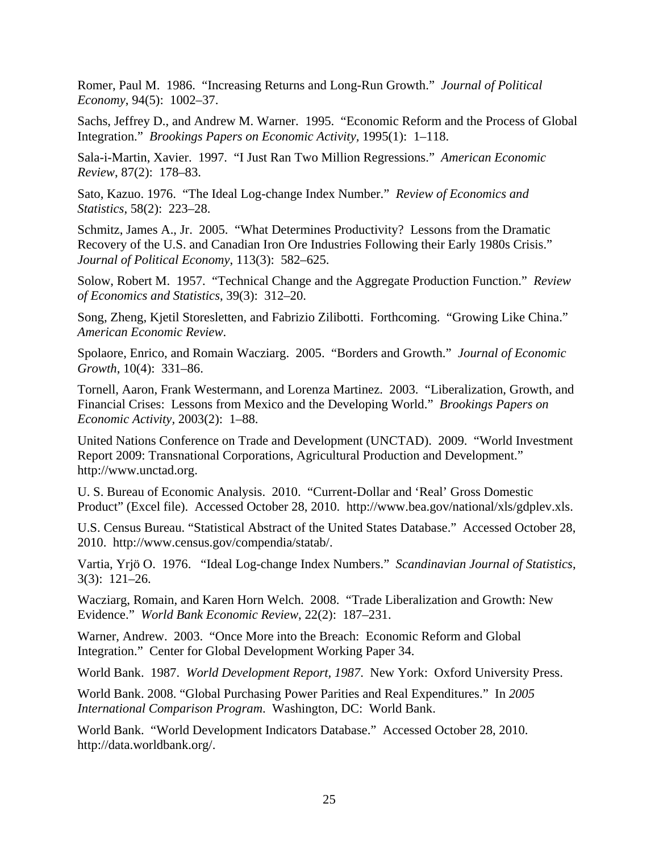Romer, Paul M. 1986. "Increasing Returns and Long-Run Growth." *Journal of Political Economy*, 94(5): 1002–37.

Sachs, Jeffrey D., and Andrew M. Warner. 1995. "Economic Reform and the Process of Global Integration." *Brookings Papers on Economic Activity,* 1995(1): 1–118.

Sala-i-Martin, Xavier. 1997. "I Just Ran Two Million Regressions." *American Economic Review*, 87(2): 178–83.

Sato, Kazuo. 1976. "The Ideal Log-change Index Number." *Review of Economics and Statistics*, 58(2): 223–28.

Schmitz, James A., Jr. 2005. "What Determines Productivity? Lessons from the Dramatic Recovery of the U.S. and Canadian Iron Ore Industries Following their Early 1980s Crisis." *Journal of Political Economy*, 113(3): 582–625.

Solow, Robert M. 1957. "Technical Change and the Aggregate Production Function." *Review of Economics and Statistics*, 39(3): 312–20.

Song, Zheng, Kjetil Storesletten, and Fabrizio Zilibotti. Forthcoming. "Growing Like China." *American Economic Review*.

Spolaore, Enrico, and Romain Wacziarg. 2005. "Borders and Growth." *Journal of Economic Growth*, 10(4): 331–86.

Tornell, Aaron, Frank Westermann, and Lorenza Martinez. 2003. "Liberalization, Growth, and Financial Crises: Lessons from Mexico and the Developing World." *Brookings Papers on Economic Activity,* 2003(2): 1–88.

United Nations Conference on Trade and Development (UNCTAD). 2009. "World Investment Report 2009: Transnational Corporations, Agricultural Production and Development." http://www.unctad.org.

U. S. Bureau of Economic Analysis. 2010. "Current-Dollar and 'Real' Gross Domestic Product" (Excel file). Accessed October 28, 2010. http://www.bea.gov/national/xls/gdplev.xls.

U.S. Census Bureau. "Statistical Abstract of the United States Database." Accessed October 28, 2010. http://www.census.gov/compendia/statab/.

Vartia, Yrjö O. 1976. "Ideal Log-change Index Numbers." *Scandinavian Journal of Statistics*, 3(3): 121–26.

Wacziarg, Romain, and Karen Horn Welch. 2008. "Trade Liberalization and Growth: New Evidence." *World Bank Economic Review*, 22(2): 187–231.

Warner, Andrew. 2003. "Once More into the Breach: Economic Reform and Global Integration." Center for Global Development Working Paper 34.

World Bank. 1987. *World Development Report, 1987*. New York: Oxford University Press.

World Bank. 2008. "Global Purchasing Power Parities and Real Expenditures." In *2005 International Comparison Program*. Washington, DC: World Bank.

World Bank. "World Development Indicators Database." Accessed October 28, 2010. http://data.worldbank.org/.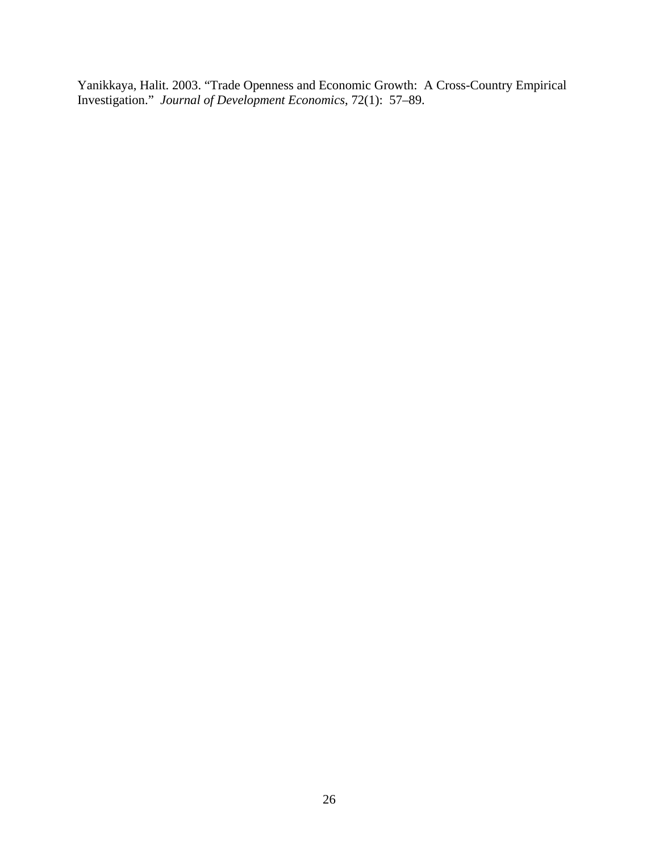Yanikkaya, Halit. 2003. "Trade Openness and Economic Growth: A Cross-Country Empirical Investigation." *Journal of Development Economics*, 72(1): 57–89.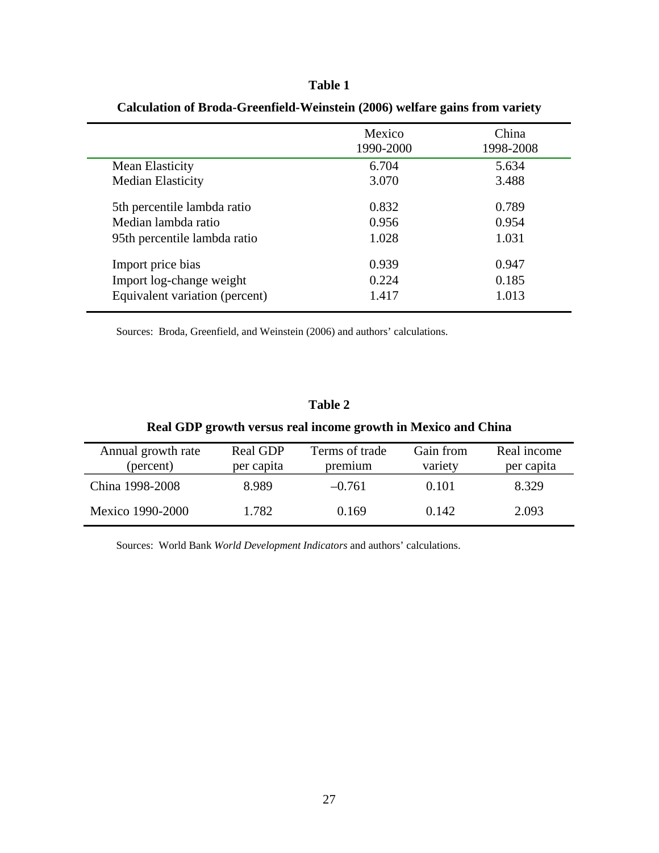|                                | Mexico<br>1990-2000 | China<br>1998-2008 |
|--------------------------------|---------------------|--------------------|
| Mean Elasticity                | 6.704               | 5.634              |
| <b>Median Elasticity</b>       | 3.070               | 3.488              |
| 5th percentile lambda ratio    | 0.832               | 0.789              |
| Median lambda ratio            | 0.956               | 0.954              |
| 95th percentile lambda ratio   | 1.028               | 1.031              |
| Import price bias              | 0.939               | 0.947              |
| Import log-change weight       | 0.224               | 0.185              |
| Equivalent variation (percent) | 1.417               | 1.013              |

# **Calculation of Broda-Greenfield-Weinstein (2006) welfare gains from variety**

**Table 1** 

Sources: Broda, Greenfield, and Weinstein (2006) and authors' calculations.

# **Table 2**

# **Real GDP growth versus real income growth in Mexico and China**

| Annual growth rate<br>(percent) | Real GDP<br>per capita | Terms of trade<br>premium | Gain from<br>variety | Real income<br>per capita |
|---------------------------------|------------------------|---------------------------|----------------------|---------------------------|
| China 1998-2008                 | 8.989                  | $-0.761$                  | 0.101                | 8.329                     |
| Mexico 1990-2000                | 1.782                  | 0.169                     | 0.142                | 2.093                     |

Sources: World Bank *World Development Indicators* and authors' calculations.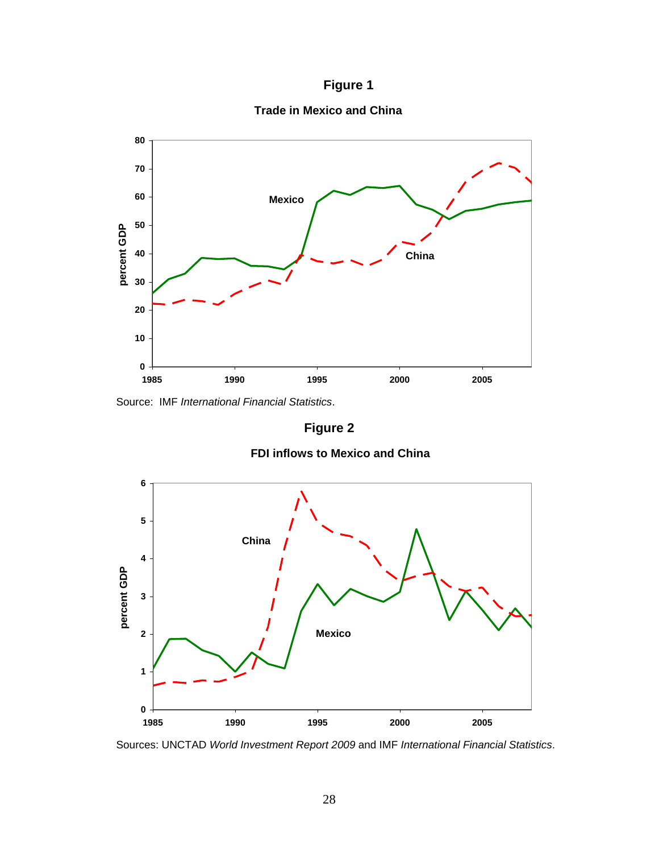**Figure 1** 

**Trade in Mexico and China**



Source: IMF *International Financial Statistics*.

**Figure 2** 

## **FDI inflows to Mexico and China**



Sources: UNCTAD *World Investment Report 2009* and IMF *International Financial Statistics*.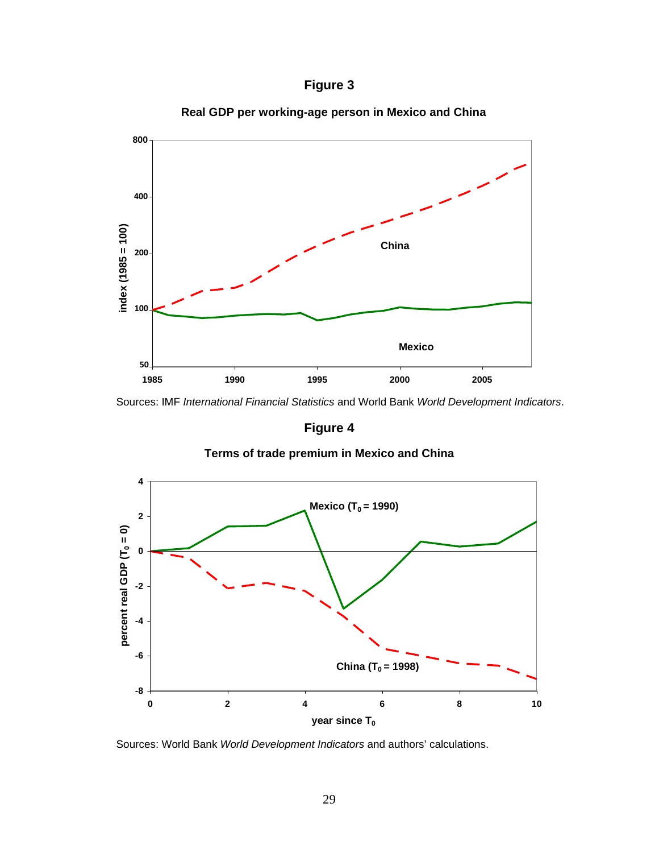



**Real GDP per working-age person in Mexico and China**

Sources: IMF *International Financial Statistics* and World Bank *World Development Indicators*.

**Figure 4** 





Sources: World Bank *World Development Indicators* and authors' calculations.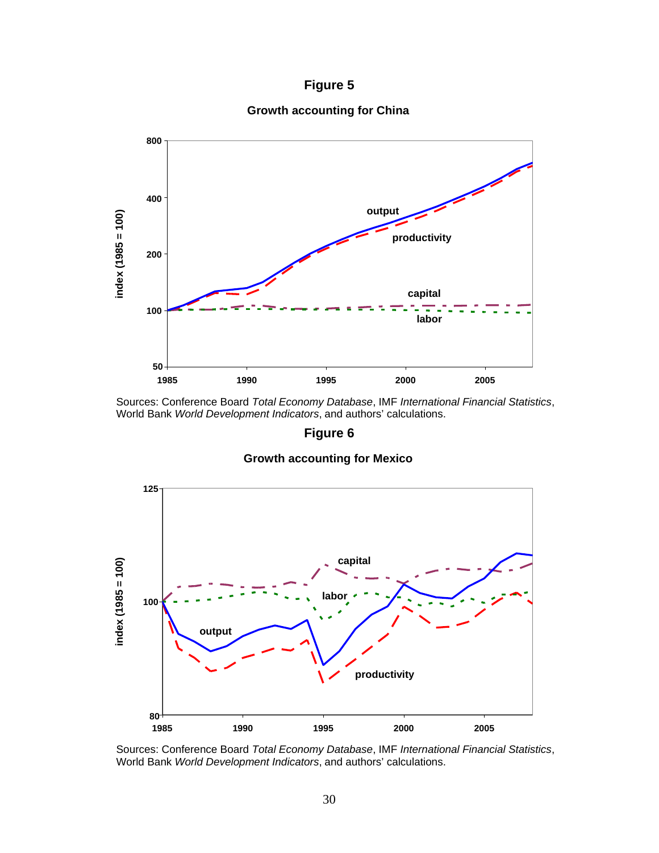# **Figure 5**

# **Growth accounting for China**



Sources: Conference Board *Total Economy Database*, IMF *International Financial Statistics*, World Bank *World Development Indicators*, and authors' calculations.

## **Figure 6**

## **Growth accounting for Mexico**



Sources: Conference Board *Total Economy Database*, IMF *International Financial Statistics*, World Bank *World Development Indicators*, and authors' calculations.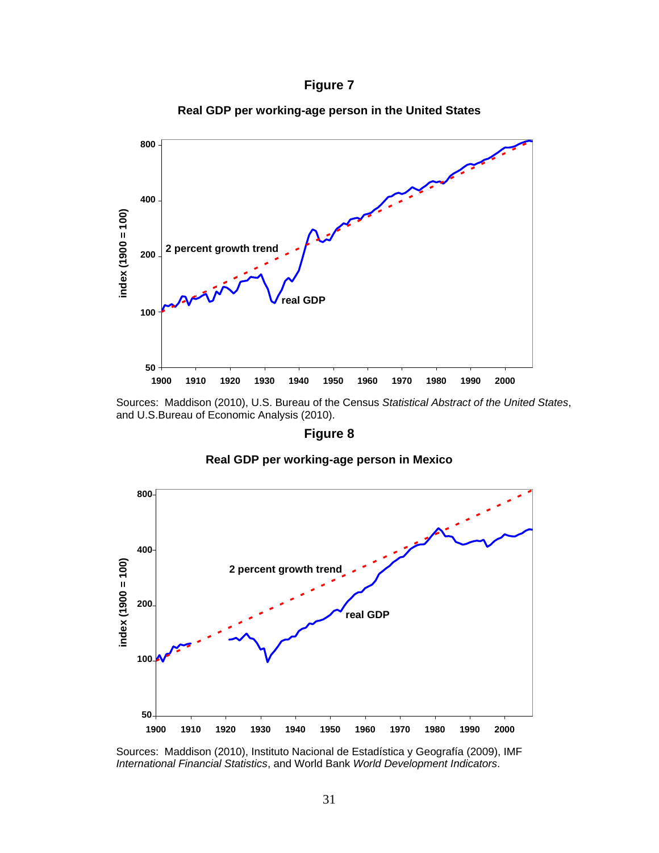

**3.00 800 2.00 400**  $index(1900 = 100)$ **index (1900 = 100) 2 percent growth trend 1.00 200 real GDP 0.00 100 -1.00 50 1900 1910 1920 1930 1940 1950 1960 1970 1980 1990 2000**

**Real GDP per working-age person in the United States**

Sources: Maddison (2010), U.S. Bureau of the Census *Statistical Abstract of the United States*, and U.S.Bureau of Economic Analysis (2010).

# **Figure 8**

## **Real GDP per working-age person in Mexico**



Sources: Maddison (2010), Instituto Nacional de Estadística y Geografía (2009), IMF *International Financial Statistics*, and World Bank *World Development Indicators*.